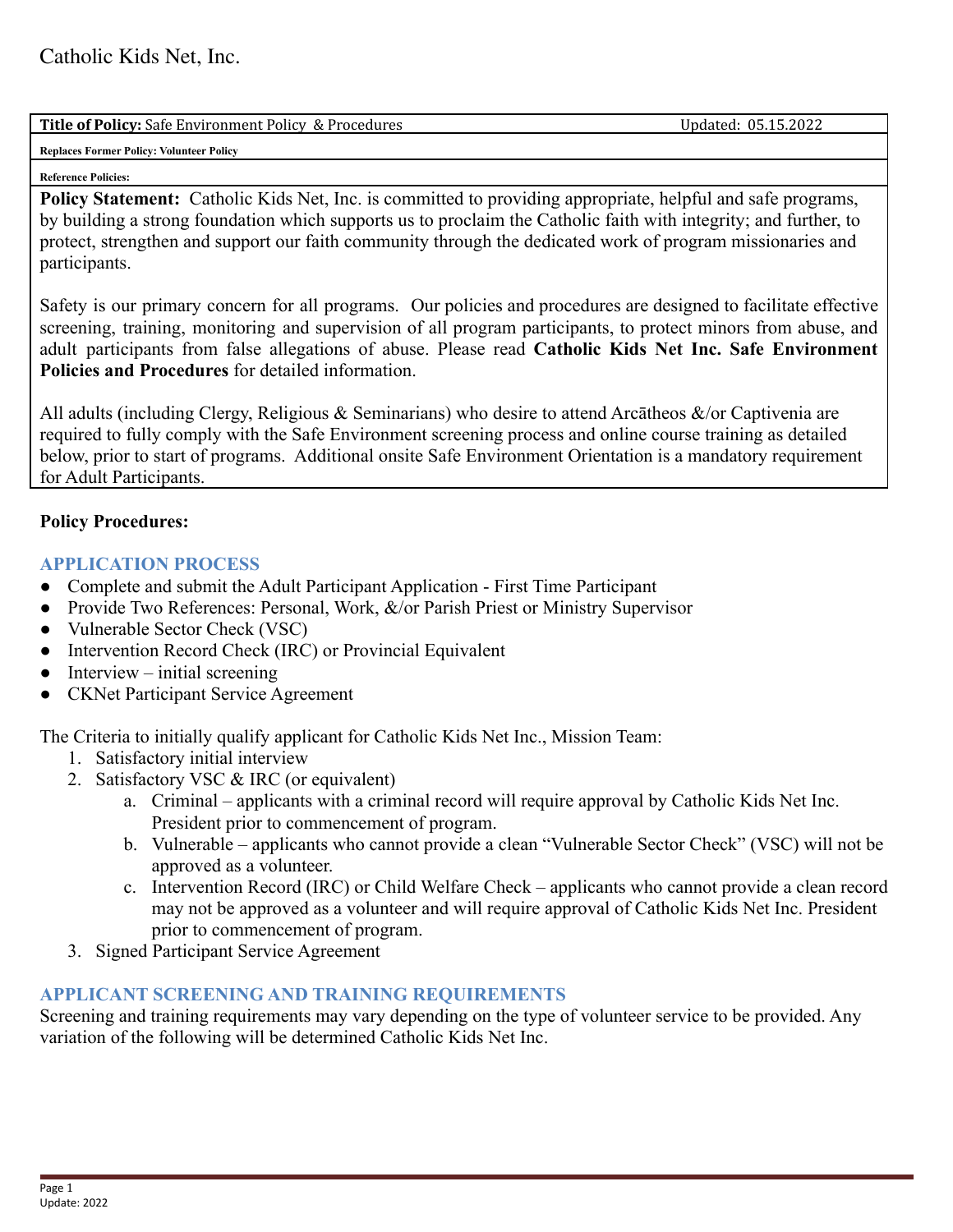| <b>Tit</b><br>'''CV<br>'rocedures<br>.Safe<br>Dr.<br>. Policy<br><br>E.NVI<br>men<br>ror<br>X. | 2022<br>.<br>l v<br>ה ה<br>-<br>upuateu |
|------------------------------------------------------------------------------------------------|-----------------------------------------|
|                                                                                                |                                         |

**Replaces Former Policy: Volunteer Policy**

#### **Reference Policies:**

**Policy Statement:** Catholic Kids Net, Inc. is committed to providing appropriate, helpful and safe programs, by building a strong foundation which supports us to proclaim the Catholic faith with integrity; and further, to protect, strengthen and support our faith community through the dedicated work of program missionaries and participants.

Safety is our primary concern for all programs. Our policies and procedures are designed to facilitate effective screening, training, monitoring and supervision of all program participants, to protect minors from abuse, and adult participants from false allegations of abuse. Please read **Catholic Kids Net Inc. Safe Environment Policies and Procedures** for detailed information.

All adults (including Clergy, Religious & Seminarians) who desire to attend Arcātheos &/or Captivenia are required to fully comply with the Safe Environment screening process and online course training as detailed below, prior to start of programs. Additional onsite Safe Environment Orientation is a mandatory requirement for Adult Participants.

## **Policy Procedures:**

## **APPLICATION PROCESS**

- Complete and submit the Adult Participant Application First Time Participant
- Provide Two References: Personal, Work, &/or Parish Priest or Ministry Supervisor
- Vulnerable Sector Check (VSC)
- Intervention Record Check (IRC) or Provincial Equivalent
- $\bullet$  Interview initial screening
- CKNet Participant Service Agreement

The Criteria to initially qualify applicant for Catholic Kids Net Inc., Mission Team:

- 1. Satisfactory initial interview
- 2. Satisfactory VSC & IRC (or equivalent)
	- a. Criminal applicants with a criminal record will require approval by Catholic Kids Net Inc. President prior to commencement of program.
	- b. Vulnerable applicants who cannot provide a clean "Vulnerable Sector Check" (VSC) will not be approved as a volunteer.
	- c. Intervention Record (IRC) or Child Welfare Check applicants who cannot provide a clean record may not be approved as a volunteer and will require approval of Catholic Kids Net Inc. President prior to commencement of program.
- 3. Signed Participant Service Agreement

## **APPLICANT SCREENING AND TRAINING REQUIREMENTS**

Screening and training requirements may vary depending on the type of volunteer service to be provided. Any variation of the following will be determined Catholic Kids Net Inc.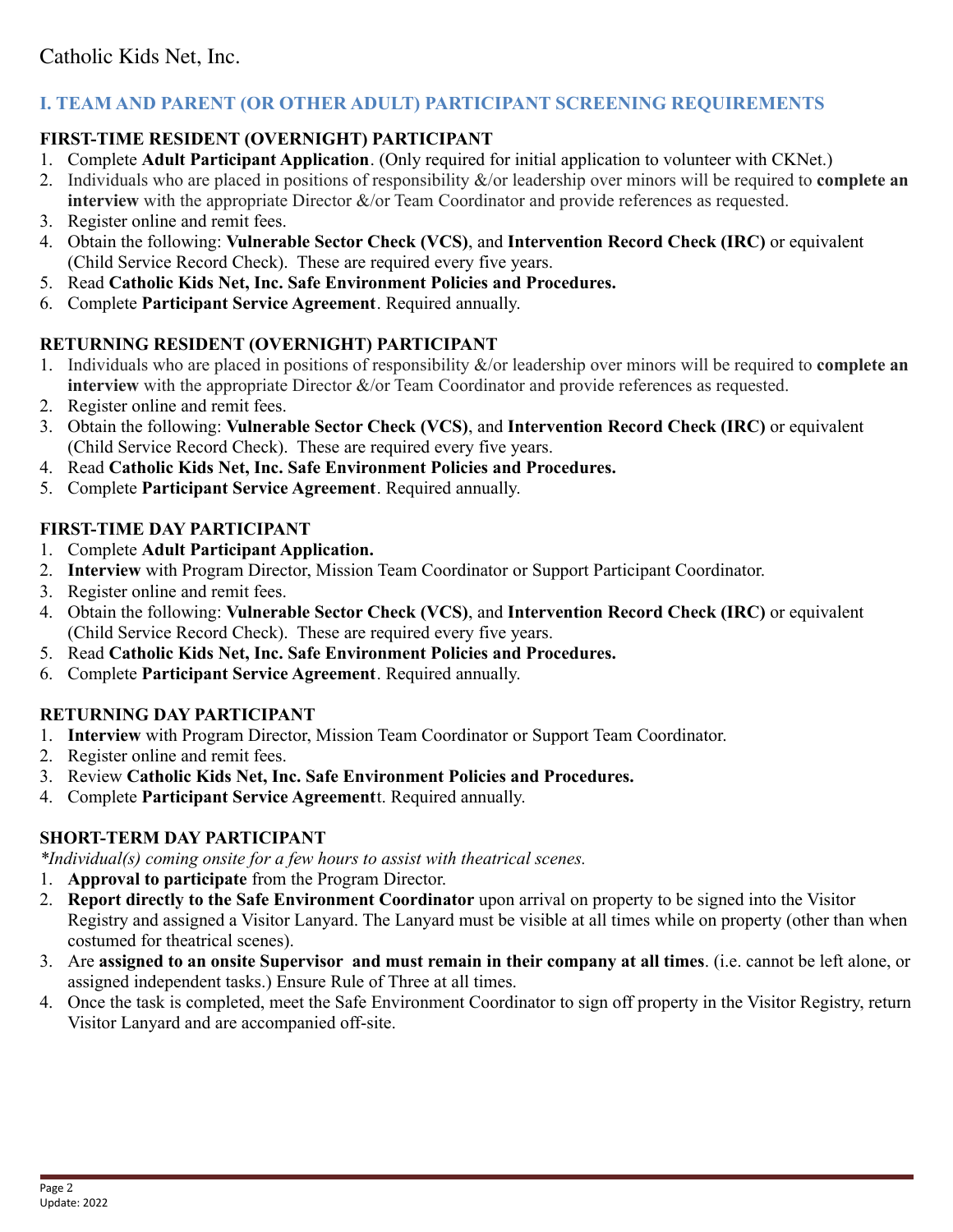# **I. TEAM AND PARENT (OR OTHER ADULT) PARTICIPANT SCREENING REQUIREMENTS**

## **FIRST-TIME RESIDENT (OVERNIGHT) PARTICIPANT**

- 1. Complete **Adult Participant Application**. (Only required for initial application to volunteer with CKNet.)
- 2. Individuals who are placed in positions of responsibility &/or leadership over minors will be required to **complete an interview** with the appropriate Director  $\&$ /or Team Coordinator and provide references as requested.
- 3. Register online and remit fees.
- 4. Obtain the following: **Vulnerable Sector Check (VCS)**, and **Intervention Record Check (IRC)** or equivalent (Child Service Record Check). These are required every five years.
- 5. Read **Catholic Kids Net, Inc. Safe Environment Policies and Procedures.**
- 6. Complete **Participant Service Agreement**. Required annually.

## **RETURNING RESIDENT (OVERNIGHT) PARTICIPANT**

- 1. Individuals who are placed in positions of responsibility &/or leadership over minors will be required to **complete an interview** with the appropriate Director  $\&$ /or Team Coordinator and provide references as requested.
- 2. Register online and remit fees.
- 3. Obtain the following: **Vulnerable Sector Check (VCS)**, and **Intervention Record Check (IRC)** or equivalent (Child Service Record Check). These are required every five years.
- 4. Read **Catholic Kids Net, Inc. Safe Environment Policies and Procedures.**
- 5. Complete **Participant Service Agreement**. Required annually.

## **FIRST-TIME DAY PARTICIPANT**

- 1. Complete **Adult Participant Application.**
- 2. **Interview** with Program Director, Mission Team Coordinator or Support Participant Coordinator.
- 3. Register online and remit fees.
- 4. Obtain the following: **Vulnerable Sector Check (VCS)**, and **Intervention Record Check (IRC)** or equivalent (Child Service Record Check). These are required every five years.
- 5. Read **Catholic Kids Net, Inc. Safe Environment Policies and Procedures.**
- 6. Complete **Participant Service Agreement**. Required annually.

## **RETURNING DAY PARTICIPANT**

- 1. **Interview** with Program Director, Mission Team Coordinator or Support Team Coordinator.
- 2. Register online and remit fees.
- 3. Review **Catholic Kids Net, Inc. Safe Environment Policies and Procedures.**
- 4. Complete **Participant Service Agreement**t. Required annually.

## **SHORT-TERM DAY PARTICIPANT**

*\*Individual(s) coming onsite for a few hours to assist with theatrical scenes.*

- 1. **Approval to participate** from the Program Director.
- 2. **Report directly to the Safe Environment Coordinator** upon arrival on property to be signed into the Visitor Registry and assigned a Visitor Lanyard. The Lanyard must be visible at all times while on property (other than when costumed for theatrical scenes).
- 3. Are **assigned to an onsite Supervisor and must remain in their company at all times**. (i.e. cannot be left alone, or assigned independent tasks.) Ensure Rule of Three at all times.
- 4. Once the task is completed, meet the Safe Environment Coordinator to sign off property in the Visitor Registry, return Visitor Lanyard and are accompanied off-site.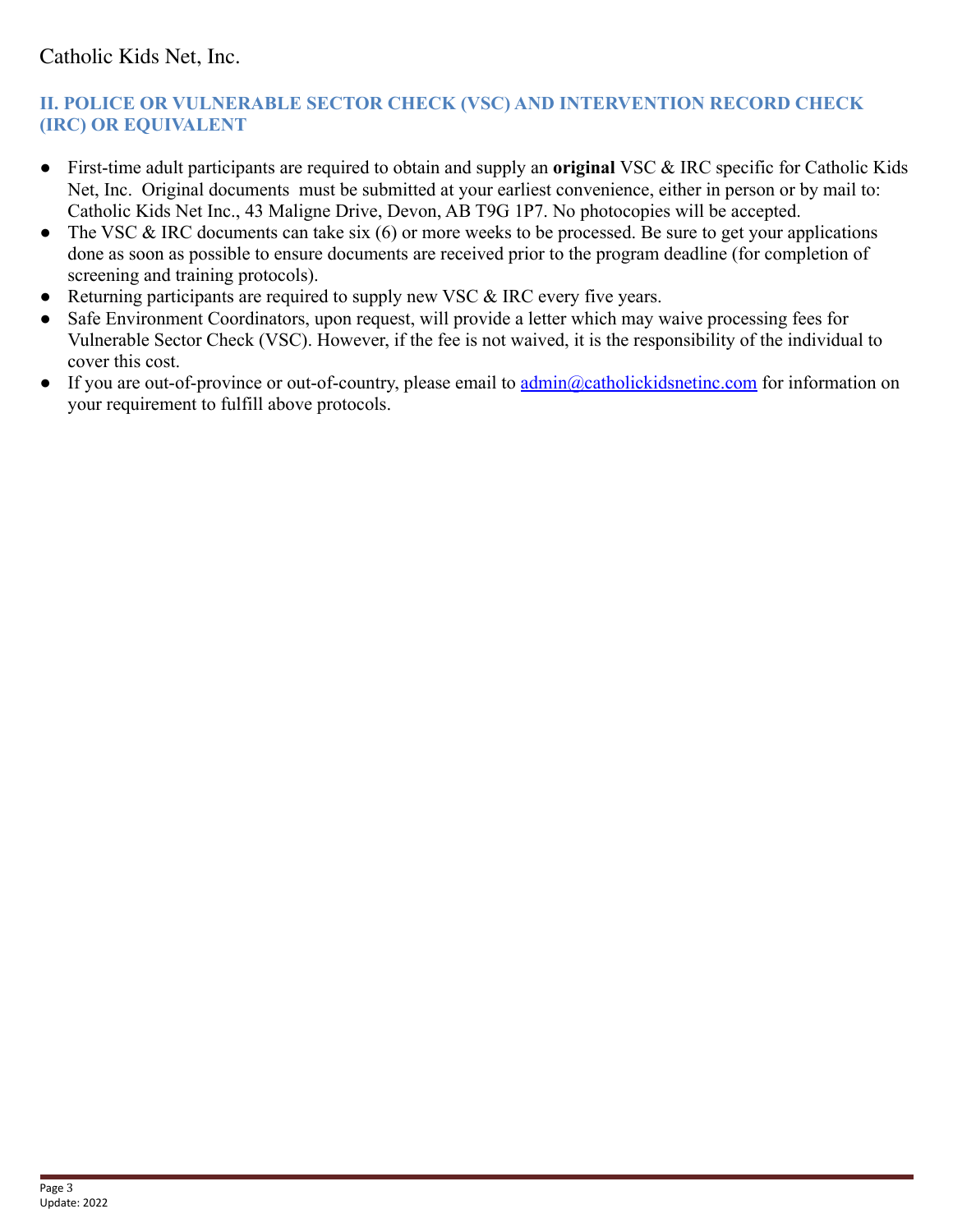## **II. POLICE OR VULNERABLE SECTOR CHECK (VSC) AND INTERVENTION RECORD CHECK (IRC) OR EQUIVALENT**

- First-time adult participants are required to obtain and supply an **original** VSC & IRC specific for Catholic Kids Net, Inc. Original documents must be submitted at your earliest convenience, either in person or by mail to: Catholic Kids Net Inc., 43 Maligne Drive, Devon, AB T9G 1P7. No photocopies will be accepted.
- The VSC  $&$  IRC documents can take six (6) or more weeks to be processed. Be sure to get your applications done as soon as possible to ensure documents are received prior to the program deadline (for completion of screening and training protocols).
- Returning participants are required to supply new VSC & IRC every five years.
- Safe Environment Coordinators, upon request, will provide a letter which may waive processing fees for Vulnerable Sector Check (VSC). However, if the fee is not waived, it is the responsibility of the individual to cover this cost.
- If you are out-of-province or out-of-country, please email to [admin@catholickidsnetinc.com](mailto:admin@catholickidsnetinc.com) for information on your requirement to fulfill above protocols.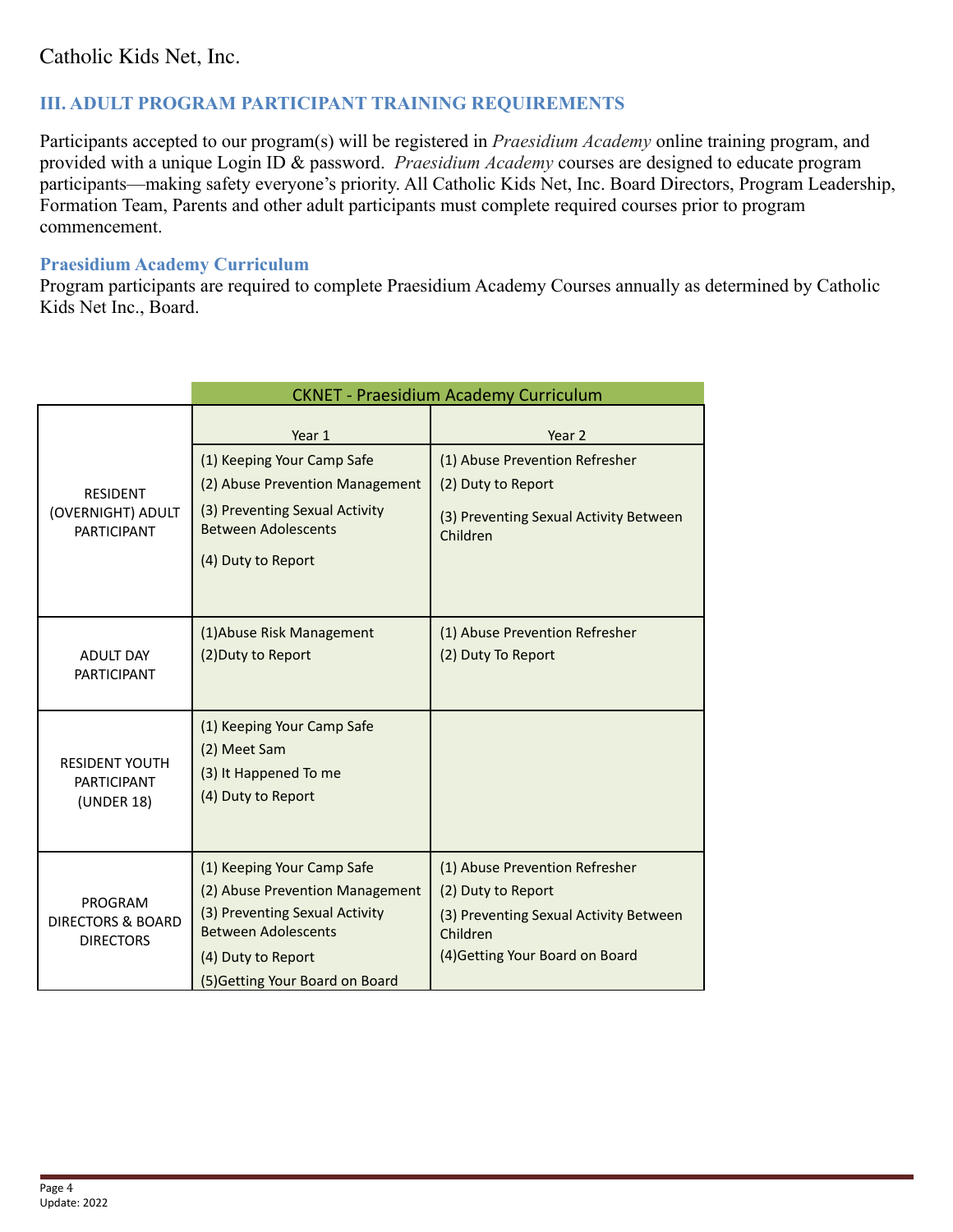## **III. ADULT PROGRAM PARTICIPANT TRAINING REQUIREMENTS**

Participants accepted to our program(s) will be registered in *Praesidium Academy* online training program, and provided with a unique Login ID & password. *Praesidium Academy* courses are designed to educate program participants—making safety everyone's priority. All Catholic Kids Net, Inc. Board Directors, Program Leadership, Formation Team, Parents and other adult participants must complete required courses prior to program commencement.

### **Praesidium Academy Curriculum**

Program participants are required to complete Praesidium Academy Courses annually as determined by Catholic Kids Net Inc., Board.

|                                                             | <b>CKNET - Praesidium Academy Curriculum</b>                                                                                                                                           |                                                                                                                                               |  |  |
|-------------------------------------------------------------|----------------------------------------------------------------------------------------------------------------------------------------------------------------------------------------|-----------------------------------------------------------------------------------------------------------------------------------------------|--|--|
| <b>RESIDENT</b><br>(OVERNIGHT) ADULT<br><b>PARTICIPANT</b>  | Year 1<br>(1) Keeping Your Camp Safe<br>(2) Abuse Prevention Management<br>(3) Preventing Sexual Activity<br><b>Between Adolescents</b><br>(4) Duty to Report                          | Year 2<br>(1) Abuse Prevention Refresher<br>(2) Duty to Report<br>(3) Preventing Sexual Activity Between<br>Children                          |  |  |
| <b>ADULT DAY</b><br><b>PARTICIPANT</b>                      | (1) Abuse Risk Management<br>(2) Duty to Report                                                                                                                                        | (1) Abuse Prevention Refresher<br>(2) Duty To Report                                                                                          |  |  |
| <b>RESIDENT YOUTH</b><br><b>PARTICIPANT</b><br>(UNDER 18)   | (1) Keeping Your Camp Safe<br>(2) Meet Sam<br>(3) It Happened To me<br>(4) Duty to Report                                                                                              |                                                                                                                                               |  |  |
| PROGRAM<br><b>DIRECTORS &amp; BOARD</b><br><b>DIRECTORS</b> | (1) Keeping Your Camp Safe<br>(2) Abuse Prevention Management<br>(3) Preventing Sexual Activity<br><b>Between Adolescents</b><br>(4) Duty to Report<br>(5) Getting Your Board on Board | (1) Abuse Prevention Refresher<br>(2) Duty to Report<br>(3) Preventing Sexual Activity Between<br>Children<br>(4) Getting Your Board on Board |  |  |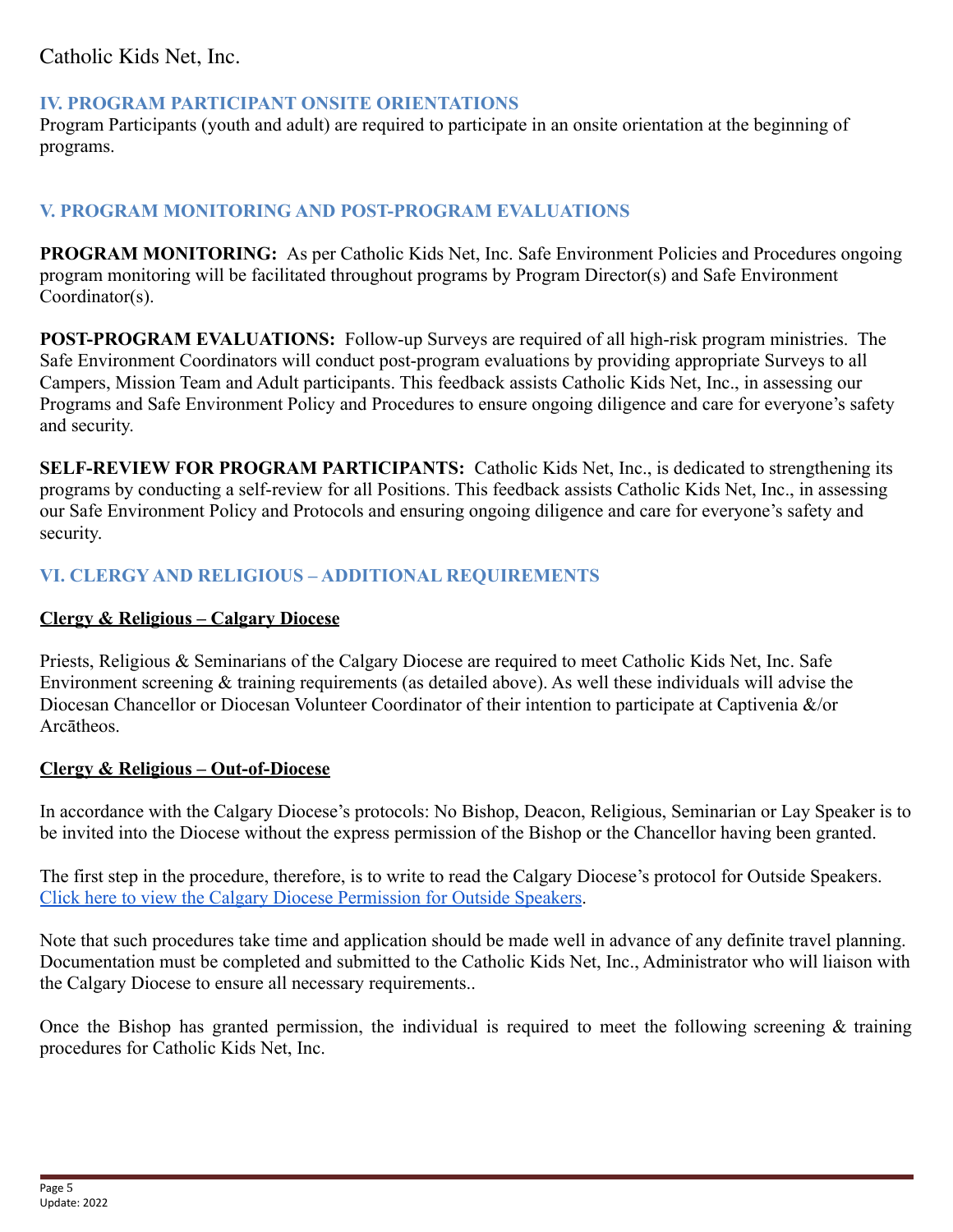## **IV. PROGRAM PARTICIPANT ONSITE ORIENTATIONS**

Program Participants (youth and adult) are required to participate in an onsite orientation at the beginning of programs.

## **V. PROGRAM MONITORING AND POST-PROGRAM EVALUATIONS**

**PROGRAM MONITORING:** As per Catholic Kids Net, Inc. Safe Environment Policies and Procedures ongoing program monitoring will be facilitated throughout programs by Program Director(s) and Safe Environment Coordinator(s).

**POST-PROGRAM EVALUATIONS:** Follow-up Surveys are required of all high-risk program ministries. The Safe Environment Coordinators will conduct post-program evaluations by providing appropriate Surveys to all Campers, Mission Team and Adult participants. This feedback assists Catholic Kids Net, Inc., in assessing our Programs and Safe Environment Policy and Procedures to ensure ongoing diligence and care for everyone's safety and security.

**SELF-REVIEW FOR PROGRAM PARTICIPANTS:** Catholic Kids Net, Inc., is dedicated to strengthening its programs by conducting a self-review for all Positions. This feedback assists Catholic Kids Net, Inc., in assessing our Safe Environment Policy and Protocols and ensuring ongoing diligence and care for everyone's safety and security.

## **VI. CLERGY AND RELIGIOUS – ADDITIONAL REQUIREMENTS**

## **Clergy & Religious – Calgary Diocese**

Priests, Religious & Seminarians of the Calgary Diocese are required to meet Catholic Kids Net, Inc. Safe Environment screening & training requirements (as detailed above). As well these individuals will advise the Diocesan Chancellor or Diocesan Volunteer Coordinator of their intention to participate at Captivenia &/or Arcātheos.

## **Clergy & Religious – Out-of-Diocese**

In accordance with the Calgary Diocese's protocols: No Bishop, Deacon, Religious, Seminarian or Lay Speaker is to be invited into the Diocese without the express permission of the Bishop or the Chancellor having been granted.

The first step in the procedure, therefore, is to write to read the Calgary Diocese's protocol for Outside Speakers. [Click here to view the Calgary Diocese Permission for Outside Speakers](https://www.catholicyyc.ca/outsidespeakerpermission.html).

Note that such procedures take time and application should be made well in advance of any definite travel planning. Documentation must be completed and submitted to the Catholic Kids Net, Inc., Administrator who will liaison with the Calgary Diocese to ensure all necessary requirements..

Once the Bishop has granted permission, the individual is required to meet the following screening & training procedures for Catholic Kids Net, Inc.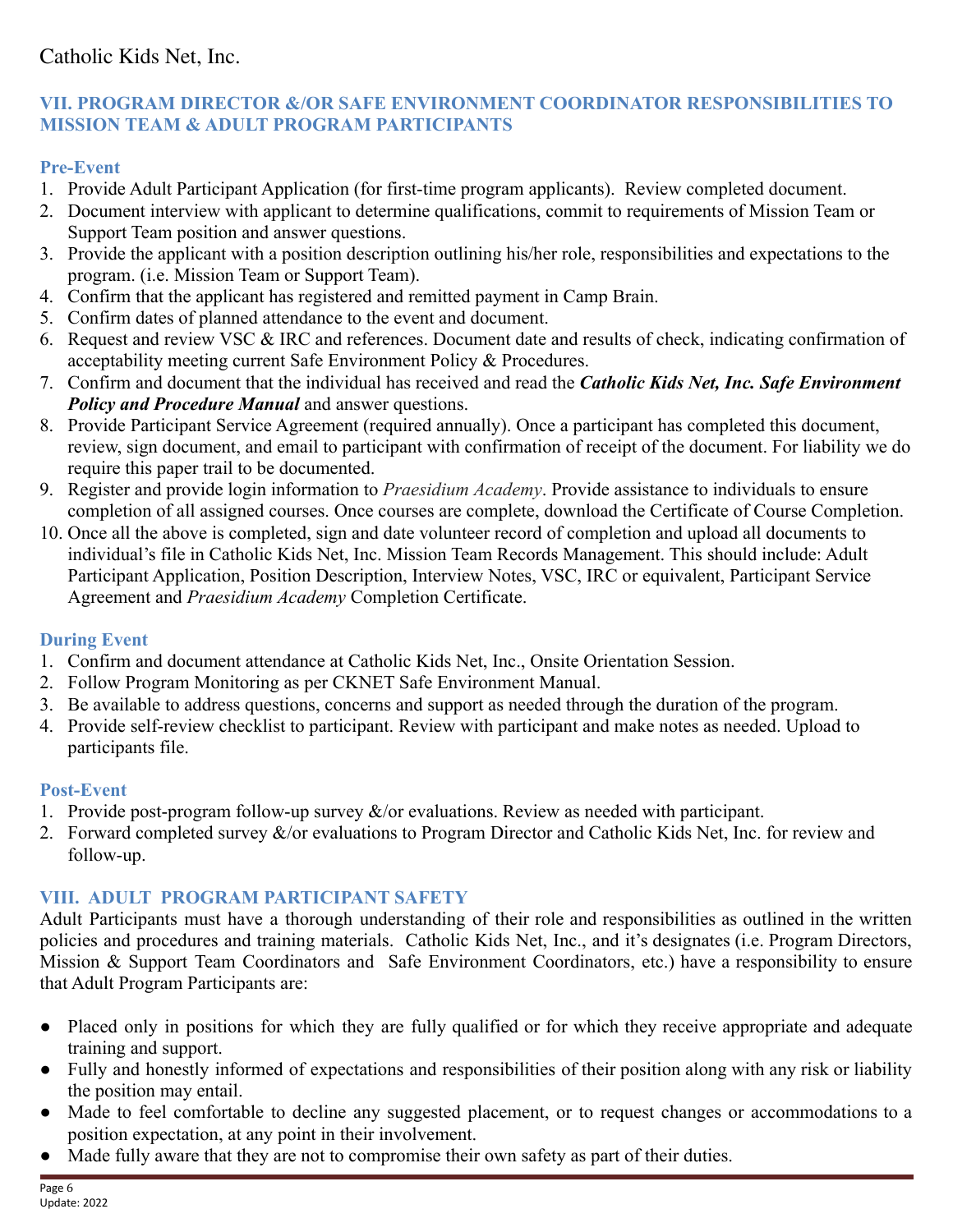## **VII. PROGRAM DIRECTOR &/OR SAFE ENVIRONMENT COORDINATOR RESPONSIBILITIES TO MISSION TEAM & ADULT PROGRAM PARTICIPANTS**

# **Pre-Event**

- 1. Provide Adult Participant Application (for first-time program applicants). Review completed document.
- 2. Document interview with applicant to determine qualifications, commit to requirements of Mission Team or Support Team position and answer questions.
- 3. Provide the applicant with a position description outlining his/her role, responsibilities and expectations to the program. (i.e. Mission Team or Support Team).
- 4. Confirm that the applicant has registered and remitted payment in Camp Brain.
- 5. Confirm dates of planned attendance to the event and document.
- 6. Request and review VSC & IRC and references. Document date and results of check, indicating confirmation of acceptability meeting current Safe Environment Policy & Procedures.
- 7. Confirm and document that the individual has received and read the *Catholic Kids Net, Inc. Safe Environment Policy and Procedure Manual* and answer questions.
- 8. Provide Participant Service Agreement (required annually). Once a participant has completed this document, review, sign document, and email to participant with confirmation of receipt of the document. For liability we do require this paper trail to be documented.
- 9. Register and provide login information to *Praesidium Academy*. Provide assistance to individuals to ensure completion of all assigned courses. Once courses are complete, download the Certificate of Course Completion.
- 10. Once all the above is completed, sign and date volunteer record of completion and upload all documents to individual's file in Catholic Kids Net, Inc. Mission Team Records Management. This should include: Adult Participant Application, Position Description, Interview Notes, VSC, IRC or equivalent, Participant Service Agreement and *Praesidium Academy* Completion Certificate.

# **During Event**

- 1. Confirm and document attendance at Catholic Kids Net, Inc., Onsite Orientation Session.
- 2. Follow Program Monitoring as per CKNET Safe Environment Manual.
- 3. Be available to address questions, concerns and support as needed through the duration of the program.
- 4. Provide self-review checklist to participant. Review with participant and make notes as needed. Upload to participants file.

# **Post-Event**

- 1. Provide post-program follow-up survey  $\&$ /or evaluations. Review as needed with participant.
- 2. Forward completed survey &/or evaluations to Program Director and Catholic Kids Net, Inc. for review and follow-up.

# **VIII. ADULT PROGRAM PARTICIPANT SAFETY**

Adult Participants must have a thorough understanding of their role and responsibilities as outlined in the written policies and procedures and training materials. Catholic Kids Net, Inc., and it's designates (i.e. Program Directors, Mission & Support Team Coordinators and Safe Environment Coordinators, etc.) have a responsibility to ensure that Adult Program Participants are:

- Placed only in positions for which they are fully qualified or for which they receive appropriate and adequate training and support.
- Fully and honestly informed of expectations and responsibilities of their position along with any risk or liability the position may entail.
- Made to feel comfortable to decline any suggested placement, or to request changes or accommodations to a position expectation, at any point in their involvement.
- Made fully aware that they are not to compromise their own safety as part of their duties.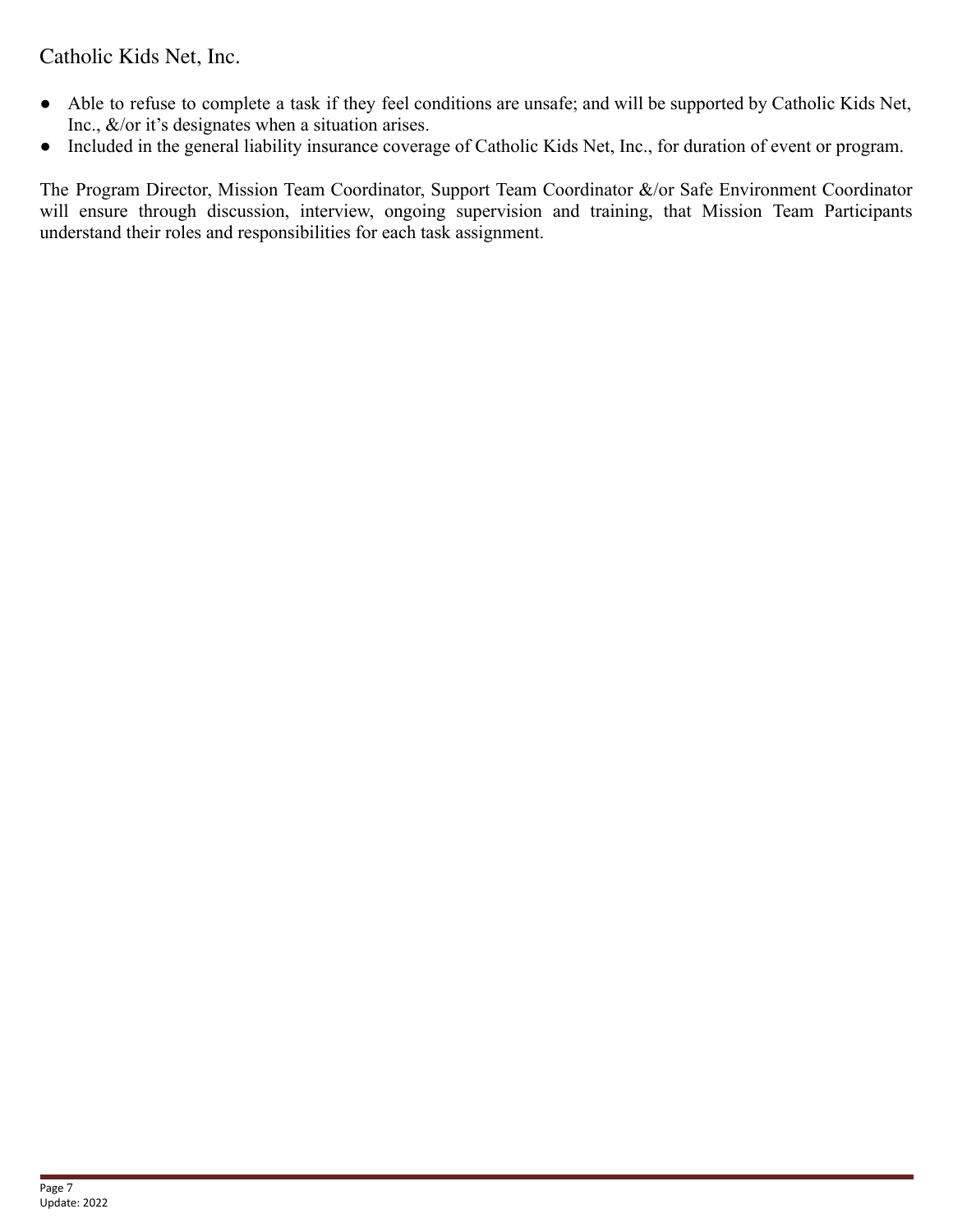- Able to refuse to complete a task if they feel conditions are unsafe; and will be supported by Catholic Kids Net, Inc., &/or it's designates when a situation arises.
- Included in the general liability insurance coverage of Catholic Kids Net, Inc., for duration of event or program.

The Program Director, Mission Team Coordinator, Support Team Coordinator &/or Safe Environment Coordinator will ensure through discussion, interview, ongoing supervision and training, that Mission Team Participants understand their roles and responsibilities for each task assignment.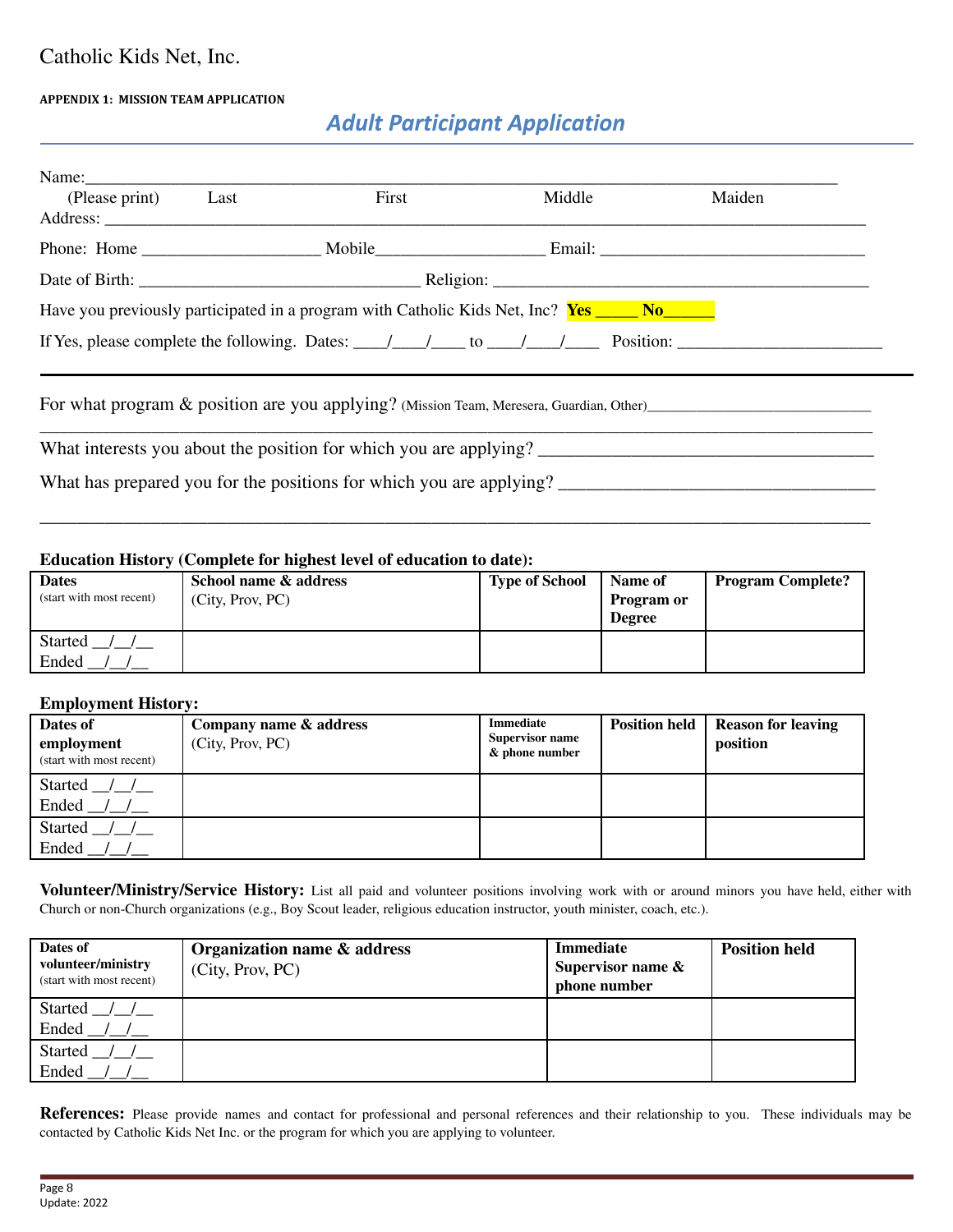#### **APPENDIX 1: MISSION TEAM APPLICATION**

# *Adult Participant Application*

| Name:          |      |                                                                                                                              |        |        |  |
|----------------|------|------------------------------------------------------------------------------------------------------------------------------|--------|--------|--|
| (Please print) | Last | First                                                                                                                        | Middle | Maiden |  |
| Address:       |      |                                                                                                                              |        |        |  |
|                |      |                                                                                                                              |        |        |  |
|                |      |                                                                                                                              |        |        |  |
|                |      | Have you previously participated in a program with Catholic Kids Net, Inc? <b>Yes No. 1994</b> No.                           |        |        |  |
|                |      | If Yes, please complete the following. Dates: $\frac{1}{\sqrt{1-\frac{1}{2}}}$ to $\frac{1}{\sqrt{1-\frac{1}{2}}}$ Position: |        |        |  |
|                |      |                                                                                                                              |        |        |  |
|                |      | For what program & position are you applying? (Mission Team, Meresera, Guardian, Other)                                      |        |        |  |
|                |      | What interests you about the position for which you are applying?                                                            |        |        |  |

What has prepared you for the positions for which you are applying? \_\_\_\_\_\_\_\_\_\_\_\_\_\_\_\_\_\_\_\_\_\_\_\_\_\_\_\_\_\_\_\_\_\_

#### **Education History (Complete for highest level of education to date):**

| <b>Dates</b><br>(start with most recent) | School name & address<br>(City, Prov, PC) | <b>Type of School</b> | Name of<br><b>Program or</b><br><b>Degree</b> | <b>Program Complete?</b> |
|------------------------------------------|-------------------------------------------|-----------------------|-----------------------------------------------|--------------------------|
| <b>Started</b>                           |                                           |                       |                                               |                          |
| Ended                                    |                                           |                       |                                               |                          |

\_\_\_\_\_\_\_\_\_\_\_\_\_\_\_\_\_\_\_\_\_\_\_\_\_\_\_\_\_\_\_\_\_\_\_\_\_\_\_\_\_\_\_\_\_\_\_\_\_\_\_\_\_\_\_\_\_\_\_\_\_\_\_\_\_\_\_\_\_\_\_\_\_\_\_\_\_\_\_\_\_\_\_\_\_\_\_\_\_

#### **Employment History:**

| Dates of<br>employment<br>(start with most recent) | Company name & address<br>(City, Prov, PC) | Immediate<br><b>Supervisor name</b><br>& phone number | <b>Position held</b> | Reason for leaving<br>position |
|----------------------------------------------------|--------------------------------------------|-------------------------------------------------------|----------------------|--------------------------------|
| Started<br>Ended                                   |                                            |                                                       |                      |                                |
| Started<br>Ended                                   |                                            |                                                       |                      |                                |

**Volunteer/Ministry/Service History:** List all paid and volunteer positions involving work with or around minors you have held, either with Church or non-Church organizations (e.g., Boy Scout leader, religious education instructor, youth minister, coach, etc.).

| Dates of<br>volunteer/ministry<br>(start with most recent) | Organization name & address<br>(City, Prov, PC) | Immediate<br>Supervisor name $\&$<br>phone number | <b>Position held</b> |
|------------------------------------------------------------|-------------------------------------------------|---------------------------------------------------|----------------------|
| Started / /                                                |                                                 |                                                   |                      |
| Ended                                                      |                                                 |                                                   |                      |
| Started                                                    |                                                 |                                                   |                      |
| Ended                                                      |                                                 |                                                   |                      |

**References:** Please provide names and contact for professional and personal references and their relationship to you. These individuals may be contacted by Catholic Kids Net Inc. or the program for which you are applying to volunteer.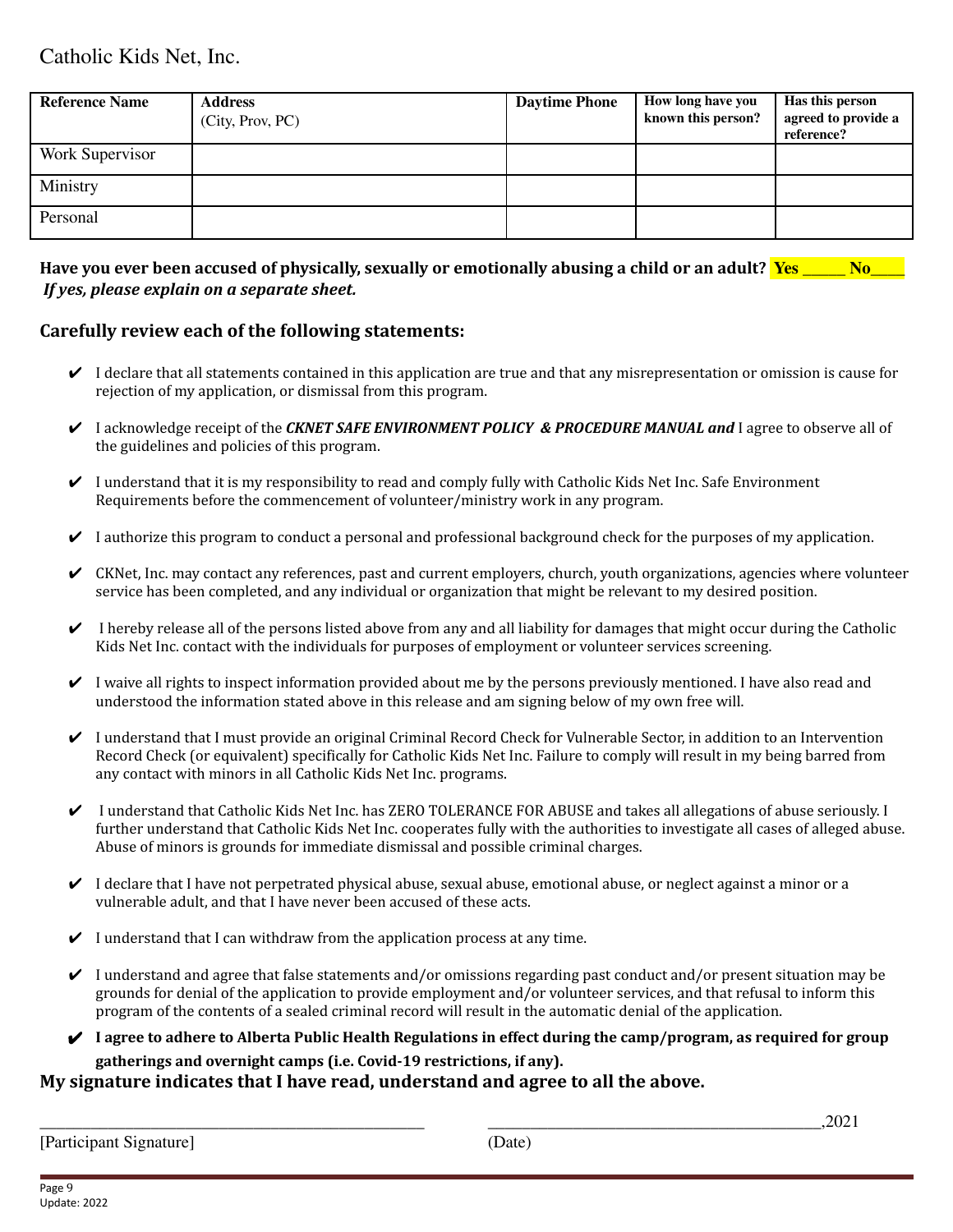| <b>Reference Name</b> | <b>Address</b><br>(City, Prov, PC) | <b>Daytime Phone</b> | How long have you<br>known this person? | Has this person<br>agreed to provide a<br>reference? |
|-----------------------|------------------------------------|----------------------|-----------------------------------------|------------------------------------------------------|
| Work Supervisor       |                                    |                      |                                         |                                                      |
| Ministry              |                                    |                      |                                         |                                                      |
| Personal              |                                    |                      |                                         |                                                      |

### Have you ever been accused of physically, sexually or emotionally abusing a child or an adult? **Yes** No *If yes, please explain on a separate sheet.*

### **Carefully review each of the following statements:**

- $\vee$  I declare that all statements contained in this application are true and that any misrepresentation or omission is cause for rejection of my application, or dismissal from this program.
- ✔ I acknowledge receipt of the *CKNET SAFE ENVIRONMENT POLICY & PROCEDURE MANUAL and* I agree to observe all of the guidelines and policies of this program.
- $\vee$  I understand that it is my responsibility to read and comply fully with Catholic Kids Net Inc. Safe Environment Requirements before the commencement of volunteer/ministry work in any program.
- $\vee$  I authorize this program to conduct a personal and professional background check for the purposes of my application.
- $\triangleright$  CKNet, Inc. may contact any references, past and current employers, church, youth organizations, agencies where volunteer service has been completed, and any individual or organization that might be relevant to my desired position.
- $\vee$  I hereby release all of the persons listed above from any and all liability for damages that might occur during the Catholic Kids Net Inc. contact with the individuals for purposes of employment or volunteer services screening.
- $\vee$  I waive all rights to inspect information provided about me by the persons previously mentioned. I have also read and understood the information stated above in this release and am signing below of my own free will.
- ✔ I understand that I must provide an original Criminal Record Check for Vulnerable Sector, in addition to an Intervention Record Check (or equivalent) specifically for Catholic Kids Net Inc. Failure to comply will result in my being barred from any contact with minors in all Catholic Kids Net Inc. programs.
- ✔ I understand that Catholic Kids Net Inc. has ZERO TOLERANCE FOR ABUSE and takes all allegations of abuse seriously. I further understand that Catholic Kids Net Inc. cooperates fully with the authorities to investigate all cases of alleged abuse. Abuse of minors is grounds for immediate dismissal and possible criminal charges.
- $\vee$  I declare that I have not perpetrated physical abuse, sexual abuse, emotional abuse, or neglect against a minor or a vulnerable adult, and that I have never been accused of these acts.
- $\checkmark$  I understand that I can withdraw from the application process at any time.
- $\vee$  I understand and agree that false statements and/or omissions regarding past conduct and/or present situation may be grounds for denial of the application to provide employment and/or volunteer services, and that refusal to inform this program of the contents of a sealed criminal record will result in the automatic denial of the application.
- $\blacktriangleright$  I agree to adhere to Alberta Public Health Regulations in effect during the camp/program, as required for group **gatherings and overnight camps (i.e. Covid-19 restrictions, if any).**

### **My signature indicates that I have read, understand and agree to all the above.**

[Participant Signature] (Date)

\_\_\_\_\_\_\_\_\_\_\_\_\_\_\_\_\_\_\_\_\_\_\_\_\_\_\_\_\_\_\_\_\_\_\_\_\_\_\_\_\_\_\_\_\_ \_\_\_\_\_\_\_\_\_\_\_\_\_\_\_\_\_\_\_\_\_\_\_\_\_\_\_\_\_\_\_\_\_\_\_\_\_\_\_,2021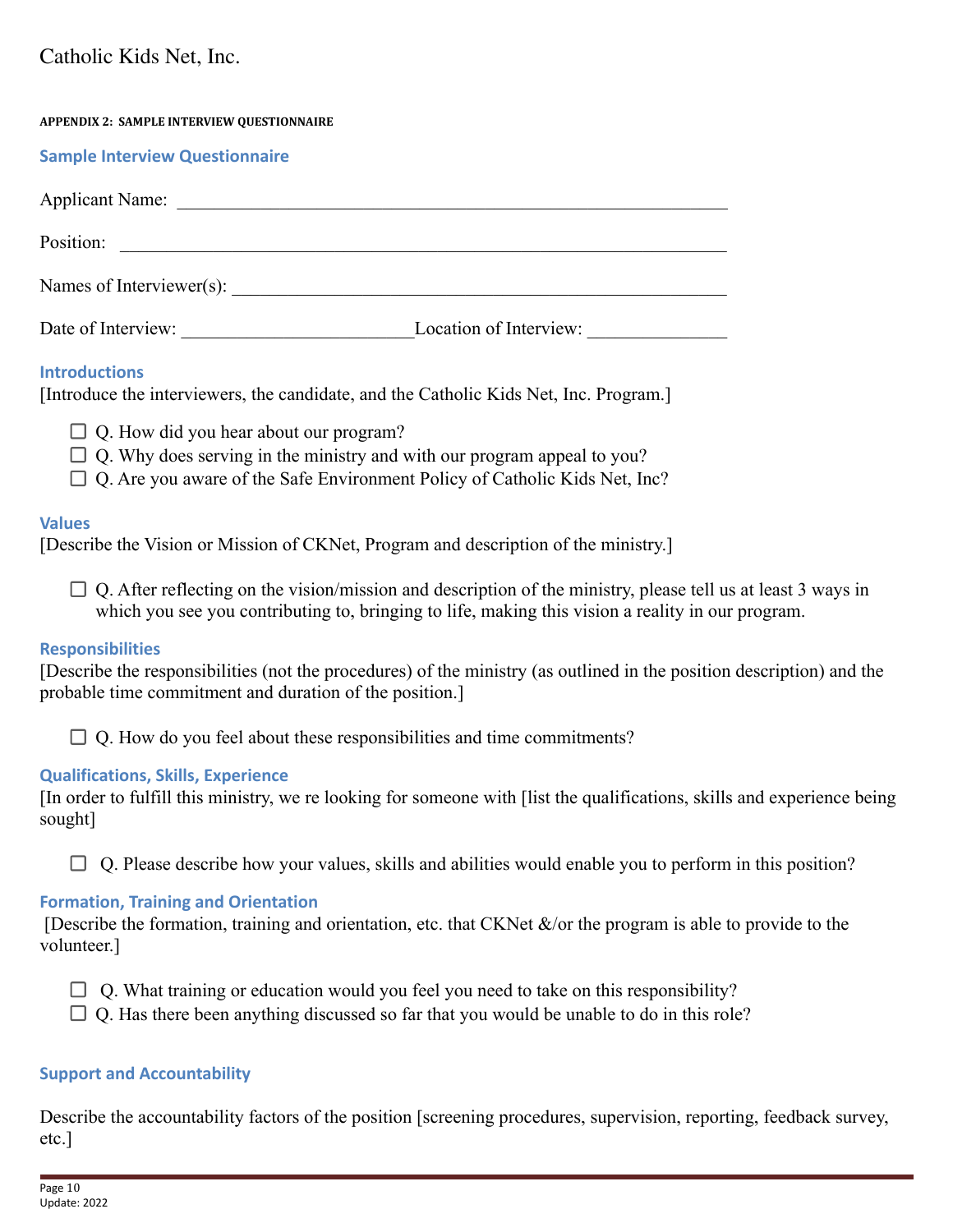| <b>APPENDIX 2: SAMPLE INTERVIEW QUESTIONNAIRE</b> |                        |
|---------------------------------------------------|------------------------|
| <b>Sample Interview Questionnaire</b>             |                        |
|                                                   |                        |
| Position:                                         |                        |
| Names of Interviewer(s):                          |                        |
| Date of Interview:                                | Location of Interview: |

## **Introductions**

[Introduce the interviewers, the candidate, and the Catholic Kids Net, Inc. Program.]

- $\Box$  Q. How did you hear about our program?
- $\Box$  Q. Why does serving in the ministry and with our program appeal to you?
- $\Box$  Q. Are you aware of the Safe Environment Policy of Catholic Kids Net, Inc?

## **Values**

[Describe the Vision or Mission of CKNet, Program and description of the ministry.]

 $\Box$  Q. After reflecting on the vision/mission and description of the ministry, please tell us at least 3 ways in which you see you contributing to, bringing to life, making this vision a reality in our program.

## **Responsibilities**

[Describe the responsibilities (not the procedures) of the ministry (as outlined in the position description) and the probable time commitment and duration of the position.]

 $\Box$  Q. How do you feel about these responsibilities and time commitments?

## **Qualifications, Skills, Experience**

[In order to fulfill this ministry, we re looking for someone with [list the qualifications, skills and experience being sought]

 $\Box$  Q. Please describe how your values, skills and abilities would enable you to perform in this position?

## **Formation, Training and Orientation**

[Describe the formation, training and orientation, etc. that CKNet  $\&$ /or the program is able to provide to the volunteer.]

- $\Box$  Q. What training or education would you feel you need to take on this responsibility?
- $\Box$  O. Has there been anything discussed so far that you would be unable to do in this role?

## **Support and Accountability**

Describe the accountability factors of the position [screening procedures, supervision, reporting, feedback survey, etc.]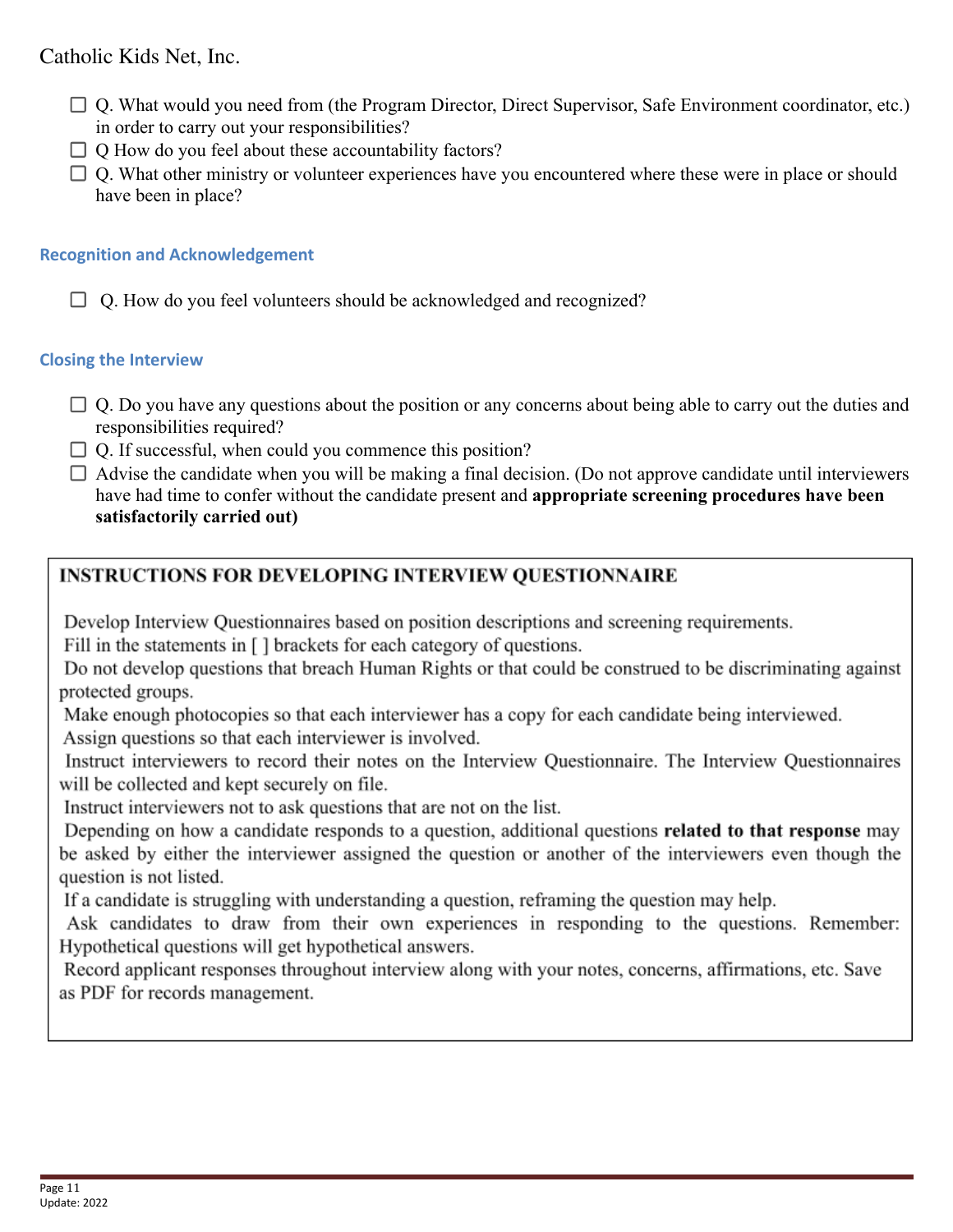- Q. What would you need from (the Program Director, Direct Supervisor, Safe Environment coordinator, etc.) in order to carry out your responsibilities?
- $\Box$  O How do you feel about these accountability factors?
- $\Box$  Q. What other ministry or volunteer experiences have you encountered where these were in place or should have been in place?

## **Recognition and Acknowledgement**

 $\Box$  Q. How do you feel volunteers should be acknowledged and recognized?

## **Closing the Interview**

- $\Box$  Q. Do you have any questions about the position or any concerns about being able to carry out the duties and responsibilities required?
- $\Box$  O. If successful, when could you commence this position?
- $\Box$  Advise the candidate when you will be making a final decision. (Do not approve candidate until interviewers have had time to confer without the candidate present and **appropriate screening procedures have been satisfactorily carried out)**

# **INSTRUCTIONS FOR DEVELOPING INTERVIEW OUESTIONNAIRE**

Develop Interview Questionnaires based on position descriptions and screening requirements.

Fill in the statements in [] brackets for each category of questions.

Do not develop questions that breach Human Rights or that could be construed to be discriminating against protected groups.

Make enough photocopies so that each interviewer has a copy for each candidate being interviewed. Assign questions so that each interviewer is involved.

Instruct interviewers to record their notes on the Interview Questionnaire. The Interview Questionnaires will be collected and kept securely on file.

Instruct interviewers not to ask questions that are not on the list.

Depending on how a candidate responds to a question, additional questions related to that response may be asked by either the interviewer assigned the question or another of the interviewers even though the question is not listed.

If a candidate is struggling with understanding a question, reframing the question may help.

Ask candidates to draw from their own experiences in responding to the questions. Remember: Hypothetical questions will get hypothetical answers.

Record applicant responses throughout interview along with your notes, concerns, affirmations, etc. Save as PDF for records management.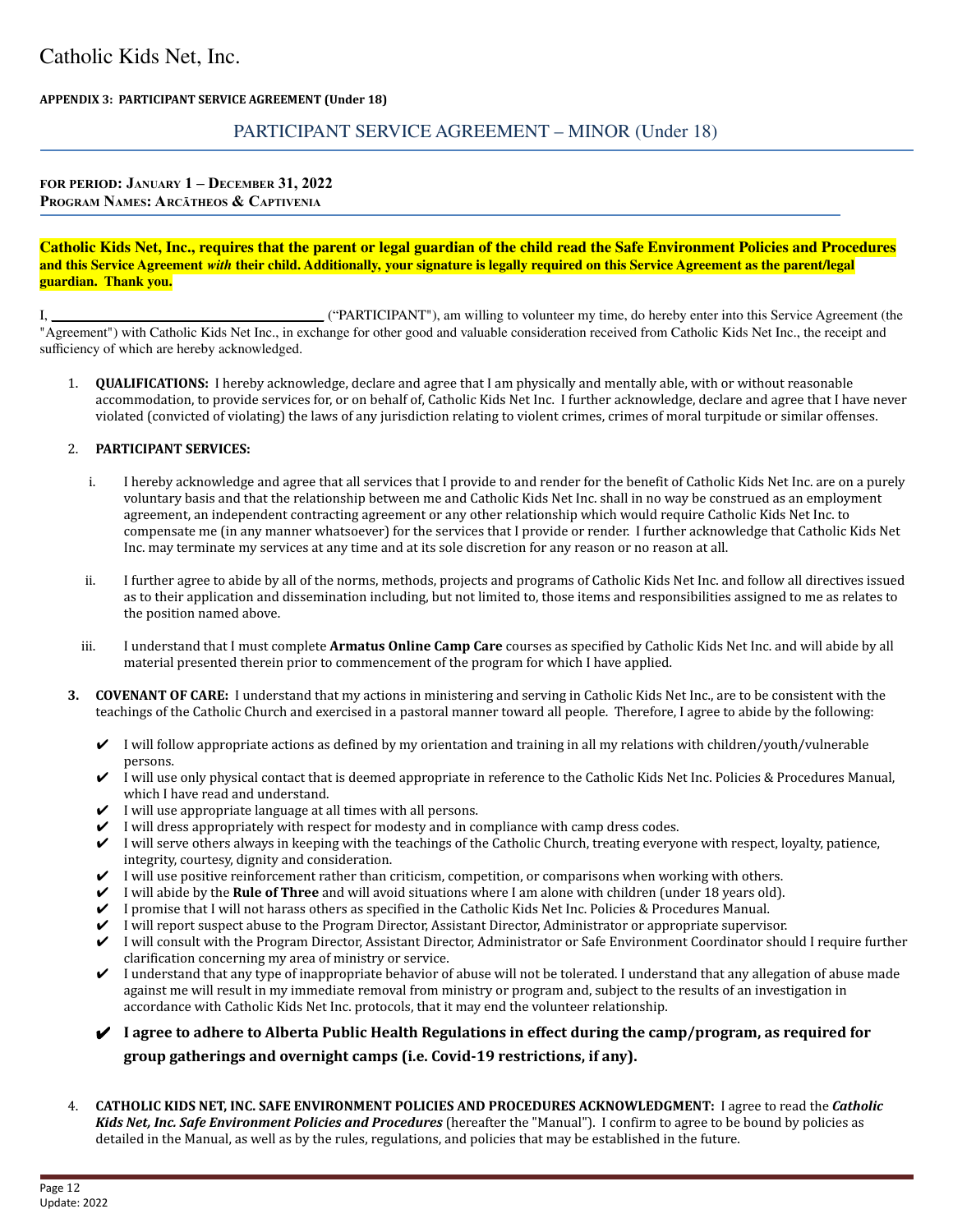#### **APPENDIX 3: PARTICIPANT SERVICE AGREEMENT (Under 18)**

### PARTICIPANT SERVICE AGREEMENT – MINOR (Under 18)

#### **FOR PERIOD: JANUARY 1 – DECEMBER 31, 2022 PROGRAM NAMES: ARCĀTHEOS & CAPTIVENIA**

#### Catholic Kids Net, Inc., requires that the parent or legal guardian of the child read the Safe Environment Policies and Procedures and this Service Agreement with their child. Additionally, your signature is legally required on this Service Agreement as the parent/legal **guardian. Thank you.**

I, \_\_\_\_\_\_\_\_\_\_\_\_\_\_\_\_\_\_\_\_\_\_\_\_\_\_\_\_\_\_\_\_\_\_\_\_\_\_\_ ("PARTICIPANT"), am willing to volunteer my time, do hereby enter into this Service Agreement (the "Agreement") with Catholic Kids Net Inc., in exchange for other good and valuable consideration received from Catholic Kids Net Inc., the receipt and sufficiency of which are hereby acknowledged.

1. **QUALIFICATIONS:** I hereby acknowledge, declare and agree that I am physically and mentally able, with or without reasonable accommodation, to provide services for, or on behalf of, Catholic Kids Net Inc. I further acknowledge, declare and agree that I have never violated (convicted of violating) the laws of any jurisdiction relating to violent crimes, crimes of moral turpitude or similar offenses.

#### 2. **PARTICIPANT SERVICES:**

- i. I hereby acknowledge and agree that all services that I provide to and render for the benefit of Catholic Kids Net Inc. are on a purely voluntary basis and that the relationship between me and Catholic Kids Net Inc. shall in no way be construed as an employment agreement, an independent contracting agreement or any other relationship which would require Catholic Kids Net Inc. to compensate me (in any manner whatsoever) for the services that I provide or render. I further acknowledge that Catholic Kids Net Inc. may terminate my services at any time and at its sole discretion for any reason or no reason at all.
- ii. I further agree to abide by all of the norms, methods, projects and programs of Catholic Kids Net Inc. and follow all directives issued as to their application and dissemination including, but not limited to, those items and responsibilities assigned to me as relates to the position named above.
- iii. I understand that I must complete **Armatus Online Camp Care** courses as specified by Catholic Kids Net Inc. and will abide by all material presented therein prior to commencement of the program for which I have applied.
- **3. COVENANT OF CARE:** I understand that my actions in ministering and serving in Catholic Kids Net Inc., are to be consistent with the teachings of the Catholic Church and exercised in a pastoral manner toward all people. Therefore, I agree to abide by the following:
	- $\vee$  I will follow appropriate actions as defined by my orientation and training in all my relations with children/youth/vulnerable persons.
	- $\checkmark$  I will use only physical contact that is deemed appropriate in reference to the Catholic Kids Net Inc. Policies & Procedures Manual, which I have read and understand.
	- $\checkmark$  I will use appropriate language at all times with all persons.
	- $\checkmark$  I will dress appropriately with respect for modesty and in compliance with camp dress codes.
	- ✔ I will serve others always in keeping with the teachings of the Catholic Church, treating everyone with respect, loyalty, patience, integrity, courtesy, dignity and consideration.
	- $\checkmark$  I will use positive reinforcement rather than criticism, competition, or comparisons when working with others.
	- ✔ I will abide by the **Rule of Three** and will avoid situations where I am alone with children (under 18 years old).
	- ✔ I promise that I will not harass others as specified in the Catholic Kids Net Inc. Policies & Procedures Manual.
	- ✔ I will report suspect abuse to the Program Director, Assistant Director, Administrator or appropriate supervisor.
	- ✔ I will consult with the Program Director, Assistant Director, Administrator or Safe Environment Coordinator should I require further clarification concerning my area of ministry or service.
	- $\vee$  I understand that any type of inappropriate behavior of abuse will not be tolerated. I understand that any allegation of abuse made against me will result in my immediate removal from ministry or program and, subject to the results of an investigation in accordance with Catholic Kids Net Inc. protocols, that it may end the volunteer relationship.

### $\blacktriangleright$  I agree to adhere to Alberta Public Health Regulations in effect during the camp/program, as required for **group gatherings and overnight camps (i.e. Covid-19 restrictions, if any).**

4. **CATHOLIC KIDS NET, INC. SAFE ENVIRONMENT POLICIES AND PROCEDURES ACKNOWLEDGMENT:** I agree to read the *Catholic Kids Net, Inc. Safe Environment Policies and Procedures* (hereafter the "Manual"). I confirm to agree to be bound by policies as detailed in the Manual, as well as by the rules, regulations, and policies that may be established in the future.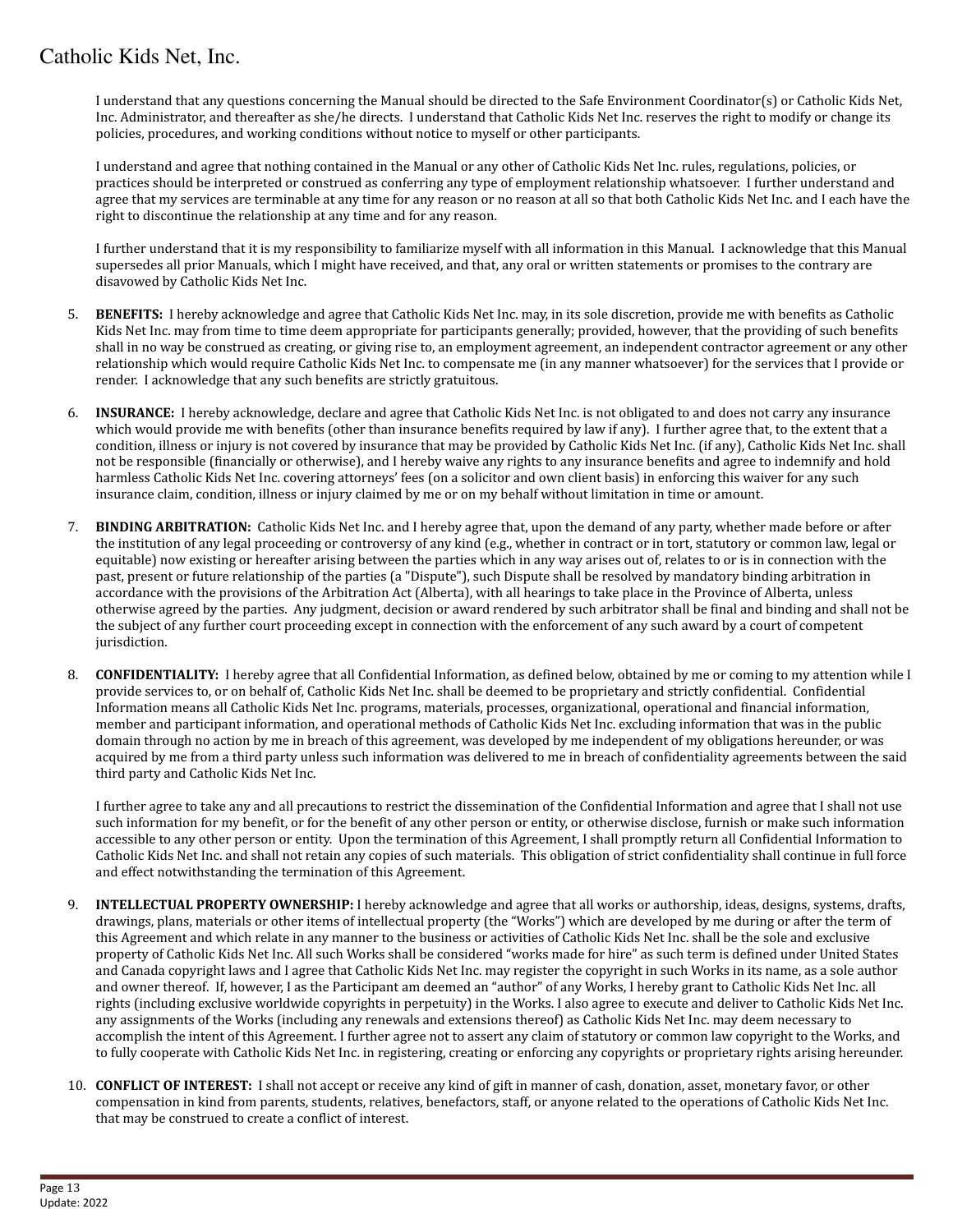I understand that any questions concerning the Manual should be directed to the Safe Environment Coordinator(s) or Catholic Kids Net, Inc. Administrator, and thereafter as she/he directs. I understand that Catholic Kids Net Inc. reserves the right to modify or change its policies, procedures, and working conditions without notice to myself or other participants.

I understand and agree that nothing contained in the Manual or any other of Catholic Kids Net Inc. rules, regulations, policies, or practices should be interpreted or construed as conferring any type of employment relationship whatsoever. I further understand and agree that my services are terminable at any time for any reason or no reason at all so that both Catholic Kids Net Inc. and I each have the right to discontinue the relationship at any time and for any reason.

I further understand that it is my responsibility to familiarize myself with all information in this Manual. I acknowledge that this Manual supersedes all prior Manuals, which I might have received, and that, any oral or written statements or promises to the contrary are disavowed by Catholic Kids Net Inc.

- 5. **BENEFITS:** I hereby acknowledge and agree that Catholic Kids Net Inc. may, in its sole discretion, provide me with benefits as Catholic Kids Net Inc. may from time to time deem appropriate for participants generally; provided, however, that the providing of such benefits shall in no way be construed as creating, or giving rise to, an employment agreement, an independent contractor agreement or any other relationship which would require Catholic Kids Net Inc. to compensate me (in any manner whatsoever) for the services that I provide or render. I acknowledge that any such benefits are strictly gratuitous.
- 6. **INSURANCE:** I hereby acknowledge, declare and agree that Catholic Kids Net Inc. is not obligated to and does not carry any insurance which would provide me with benefits (other than insurance benefits required by law if any). I further agree that, to the extent that a condition, illness or injury is not covered by insurance that may be provided by Catholic Kids Net Inc. (if any), Catholic Kids Net Inc. shall not be responsible (financially or otherwise), and I hereby waive any rights to any insurance benefits and agree to indemnify and hold harmless Catholic Kids Net Inc. covering attorneys' fees (on a solicitor and own client basis) in enforcing this waiver for any such insurance claim, condition, illness or injury claimed by me or on my behalf without limitation in time or amount.
- 7. **BINDING ARBITRATION:** Catholic Kids Net Inc. and I hereby agree that, upon the demand of any party, whether made before or after the institution of any legal proceeding or controversy of any kind (e.g., whether in contract or in tort, statutory or common law, legal or equitable) now existing or hereafter arising between the parties which in any way arises out of, relates to or is in connection with the past, present or future relationship of the parties (a "Dispute"), such Dispute shall be resolved by mandatory binding arbitration in accordance with the provisions of the Arbitration Act (Alberta), with all hearings to take place in the Province of Alberta, unless otherwise agreed by the parties. Any judgment, decision or award rendered by such arbitrator shall be final and binding and shall not be the subject of any further court proceeding except in connection with the enforcement of any such award by a court of competent jurisdiction.
- 8. **CONFIDENTIALITY:** I hereby agree that all Confidential Information, as defined below, obtained by me or coming to my attention while I provide services to, or on behalf of, Catholic Kids Net Inc. shall be deemed to be proprietary and strictly confidential. Confidential Information means all Catholic Kids Net Inc. programs, materials, processes, organizational, operational and financial information, member and participant information, and operational methods of Catholic Kids Net Inc. excluding information that was in the public domain through no action by me in breach of this agreement, was developed by me independent of my obligations hereunder, or was acquired by me from a third party unless such information was delivered to me in breach of confidentiality agreements between the said third party and Catholic Kids Net Inc.

I further agree to take any and all precautions to restrict the dissemination of the Confidential Information and agree that I shall not use such information for my benefit, or for the benefit of any other person or entity, or otherwise disclose, furnish or make such information accessible to any other person or entity. Upon the termination of this Agreement, I shall promptly return all Confidential Information to Catholic Kids Net Inc. and shall not retain any copies of such materials. This obligation of strict confidentiality shall continue in full force and effect notwithstanding the termination of this Agreement.

- 9. **INTELLECTUAL PROPERTY OWNERSHIP:** I hereby acknowledge and agree that all works or authorship, ideas, designs, systems, drafts, drawings, plans, materials or other items of intellectual property (the "Works") which are developed by me during or after the term of this Agreement and which relate in any manner to the business or activities of Catholic Kids Net Inc. shall be the sole and exclusive property of Catholic Kids Net Inc. All such Works shall be considered "works made for hire" as such term is defined under United States and Canada copyright laws and I agree that Catholic Kids Net Inc. may register the copyright in such Works in its name, as a sole author and owner thereof. If, however, I as the Participant am deemed an "author" of any Works, I hereby grant to Catholic Kids Net Inc. all rights (including exclusive worldwide copyrights in perpetuity) in the Works. I also agree to execute and deliver to Catholic Kids Net Inc. any assignments of the Works (including any renewals and extensions thereof) as Catholic Kids Net Inc. may deem necessary to accomplish the intent of this Agreement. I further agree not to assert any claim of statutory or common law copyright to the Works, and to fully cooperate with Catholic Kids Net Inc. in registering, creating or enforcing any copyrights or proprietary rights arising hereunder.
- 10. **CONFLICT OF INTEREST:** I shall not accept or receive any kind of gift in manner of cash, donation, asset, monetary favor, or other compensation in kind from parents, students, relatives, benefactors, staff, or anyone related to the operations of Catholic Kids Net Inc. that may be construed to create a conflict of interest.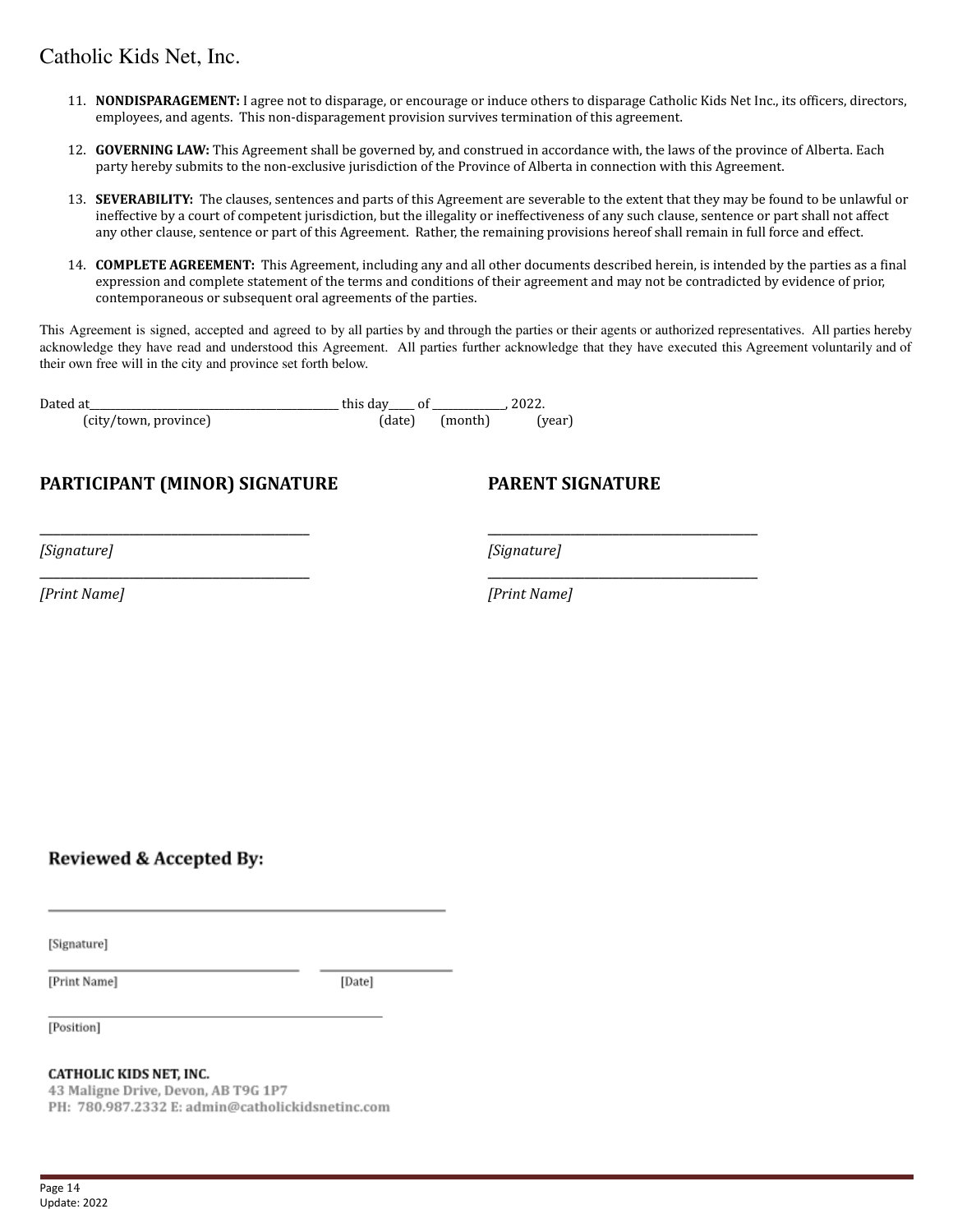- 11. **NONDISPARAGEMENT:** I agree not to disparage, or encourage or induce others to disparage Catholic Kids Net Inc., its officers, directors, employees, and agents. This non-disparagement provision survives termination of this agreement.
- 12. **GOVERNING LAW:** This Agreement shall be governed by, and construed in accordance with, the laws of the province of Alberta. Each party hereby submits to the non-exclusive jurisdiction of the Province of Alberta in connection with this Agreement.
- 13. **SEVERABILITY:** The clauses, sentences and parts of this Agreement are severable to the extent that they may be found to be unlawful or ineffective by a court of competent jurisdiction, but the illegality or ineffectiveness of any such clause, sentence or part shall not affect any other clause, sentence or part of this Agreement. Rather, the remaining provisions hereof shall remain in full force and effect.
- 14. **COMPLETE AGREEMENT:** This Agreement, including any and all other documents described herein, is intended by the parties as a final expression and complete statement of the terms and conditions of their agreement and may not be contradicted by evidence of prior, contemporaneous or subsequent oral agreements of the parties.

This Agreement is signed, accepted and agreed to by all parties by and through the parties or their agents or authorized representatives. All parties hereby acknowledge they have read and understood this Agreement. All parties further acknowledge that they have executed this Agreement voluntarily and of their own free will in the city and province set forth below.

\_\_\_\_\_\_\_\_\_\_\_\_\_\_\_\_\_\_\_\_\_\_\_\_\_\_\_\_\_\_\_\_\_\_\_\_\_\_\_ \_\_\_\_\_\_\_\_\_\_\_\_\_\_\_\_\_\_\_\_\_\_\_\_\_\_\_\_\_\_\_\_\_\_\_\_\_\_\_

\_\_\_\_\_\_\_\_\_\_\_\_\_\_\_\_\_\_\_\_\_\_\_\_\_\_\_\_\_\_\_\_\_\_\_\_\_\_\_ \_\_\_\_\_\_\_\_\_\_\_\_\_\_\_\_\_\_\_\_\_\_\_\_\_\_\_\_\_\_\_\_\_\_\_\_\_\_\_

| Dated at              | this day | - of |         |        |
|-----------------------|----------|------|---------|--------|
| (city/town, province) | (date)   |      | (month) | (year) |

# **PARTICIPANT (MINOR) SIGNATURE PARENT SIGNATURE**

*[Signature] [Signature]*

*[Print Name] [Print Name]*

Reviewed & Accepted By:

[Signature]

[Print Name]

[Date]

[Position]

#### **CATHOLIC KIDS NET, INC.**

43 Maligne Drive, Devon, AB T9G 1P7 PH: 780.987.2332 E: admin@catholickidsnetinc.com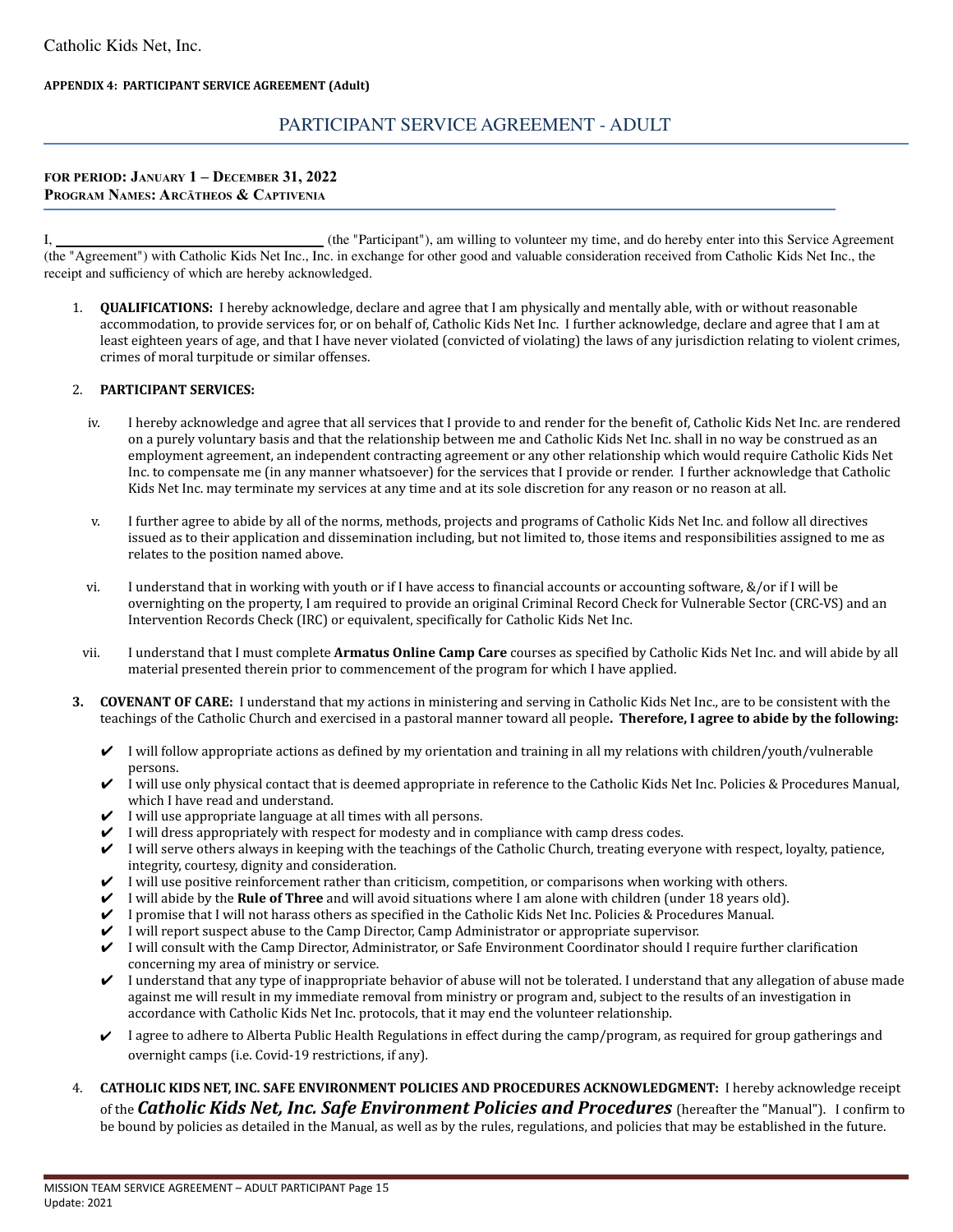#### **APPENDIX 4: PARTICIPANT SERVICE AGREEMENT (Adult)**

### PARTICIPANT SERVICE AGREEMENT - ADULT

#### **FOR PERIOD: JANUARY 1 – DECEMBER 31, 2022 PROGRAM NAMES: ARCĀTHEOS & CAPTIVENIA**

I, (the "Participant"), am willing to volunteer my time, and do hereby enter into this Service Agreement (the "Agreement") with Catholic Kids Net Inc., Inc. in exchange for other good and valuable consideration received from Catholic Kids Net Inc., the receipt and sufficiency of which are hereby acknowledged.

1. **QUALIFICATIONS:** I hereby acknowledge, declare and agree that I am physically and mentally able, with or without reasonable accommodation, to provide services for, or on behalf of, Catholic Kids Net Inc. I further acknowledge, declare and agree that I am at least eighteen years of age, and that I have never violated (convicted of violating) the laws of any jurisdiction relating to violent crimes, crimes of moral turpitude or similar offenses.

#### 2. **PARTICIPANT SERVICES:**

- iv. I hereby acknowledge and agree that all services that I provide to and render for the benefit of, Catholic Kids Net Inc. are rendered on a purely voluntary basis and that the relationship between me and Catholic Kids Net Inc. shall in no way be construed as an employment agreement, an independent contracting agreement or any other relationship which would require Catholic Kids Net Inc. to compensate me (in any manner whatsoever) for the services that I provide or render. I further acknowledge that Catholic Kids Net Inc. may terminate my services at any time and at its sole discretion for any reason or no reason at all.
- v. I further agree to abide by all of the norms, methods, projects and programs of Catholic Kids Net Inc. and follow all directives issued as to their application and dissemination including, but not limited to, those items and responsibilities assigned to me as relates to the position named above.
- vi. I understand that in working with youth or if I have access to financial accounts or accounting software, &/or if I will be overnighting on the property, I am required to provide an original Criminal Record Check for Vulnerable Sector (CRC-VS) and an Intervention Records Check (IRC) or equivalent, specifically for Catholic Kids Net Inc.
- vii. I understand that I must complete **Armatus Online Camp Care** courses as specified by Catholic Kids Net Inc. and will abide by all material presented therein prior to commencement of the program for which I have applied.
- **3. COVENANT OF CARE:** I understand that my actions in ministering and serving in Catholic Kids Net Inc., are to be consistent with the teachings of the Catholic Church and exercised in a pastoral manner toward all people**. Therefore, I agree to abide by the following:**
	- $\checkmark$  I will follow appropriate actions as defined by my orientation and training in all my relations with children/youth/vulnerable persons.
	- ✔ I will use only physical contact that is deemed appropriate in reference to the Catholic Kids Net Inc. Policies & Procedures Manual, which I have read and understand.
	- $\checkmark$  I will use appropriate language at all times with all persons.
	- $\triangledown$  I will dress appropriately with respect for modesty and in compliance with camp dress codes.
	- $\checkmark$  I will serve others always in keeping with the teachings of the Catholic Church, treating everyone with respect, loyalty, patience, integrity, courtesy, dignity and consideration.
	- $\checkmark$  I will use positive reinforcement rather than criticism, competition, or comparisons when working with others.
	- ✔ I will abide by the **Rule of Three** and will avoid situations where I am alone with children (under 18 years old).
	- ✔ I promise that I will not harass others as specified in the Catholic Kids Net Inc. Policies & Procedures Manual.
	- ✔ I will report suspect abuse to the Camp Director, Camp Administrator or appropriate supervisor.
	- ✔ I will consult with the Camp Director, Administrator, or Safe Environment Coordinator should I require further clarification concerning my area of ministry or service.
	- $\vee$  I understand that any type of inappropriate behavior of abuse will not be tolerated. I understand that any allegation of abuse made against me will result in my immediate removal from ministry or program and, subject to the results of an investigation in accordance with Catholic Kids Net Inc. protocols, that it may end the volunteer relationship.
	- $\vee$  I agree to adhere to Alberta Public Health Regulations in effect during the camp/program, as required for group gatherings and overnight camps (i.e. Covid-19 restrictions, if any).
- 4. **CATHOLIC KIDS NET, INC. SAFE ENVIRONMENT POLICIES AND PROCEDURES ACKNOWLEDGMENT:** I hereby acknowledge receipt of the *Catholic Kids Net, Inc. Safe Environment Policies and Procedures* (hereafter the "Manual"). I confirm to be bound by policies as detailed in the Manual, as well as by the rules, regulations, and policies that may be established in the future.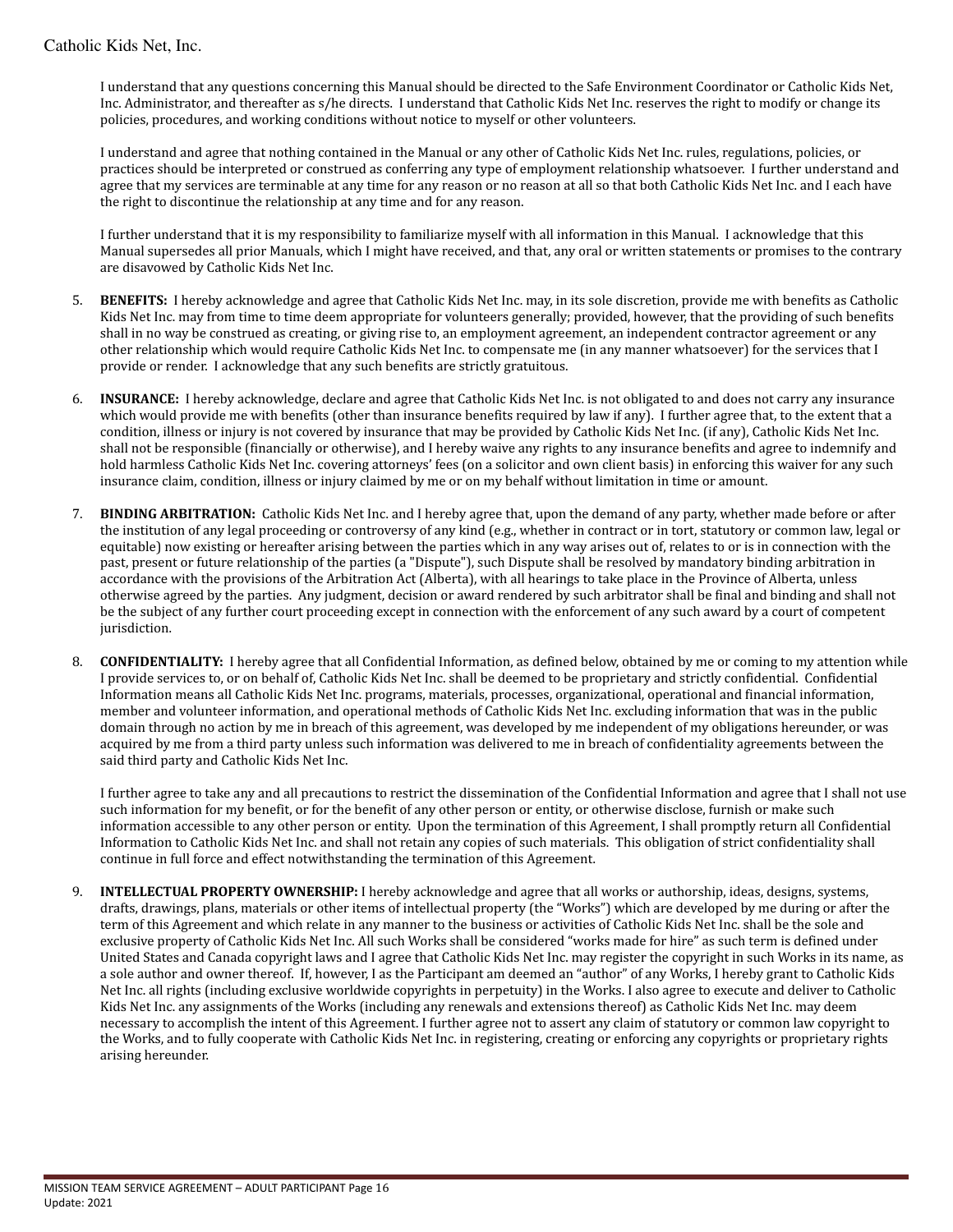I understand that any questions concerning this Manual should be directed to the Safe Environment Coordinator or Catholic Kids Net, Inc. Administrator, and thereafter as s/he directs. I understand that Catholic Kids Net Inc. reserves the right to modify or change its policies, procedures, and working conditions without notice to myself or other volunteers.

I understand and agree that nothing contained in the Manual or any other of Catholic Kids Net Inc. rules, regulations, policies, or practices should be interpreted or construed as conferring any type of employment relationship whatsoever. I further understand and agree that my services are terminable at any time for any reason or no reason at all so that both Catholic Kids Net Inc. and I each have the right to discontinue the relationship at any time and for any reason.

I further understand that it is my responsibility to familiarize myself with all information in this Manual. I acknowledge that this Manual supersedes all prior Manuals, which I might have received, and that, any oral or written statements or promises to the contrary are disavowed by Catholic Kids Net Inc.

- 5. **BENEFITS:** I hereby acknowledge and agree that Catholic Kids Net Inc. may, in its sole discretion, provide me with benefits as Catholic Kids Net Inc. may from time to time deem appropriate for volunteers generally; provided, however, that the providing of such benefits shall in no way be construed as creating, or giving rise to, an employment agreement, an independent contractor agreement or any other relationship which would require Catholic Kids Net Inc. to compensate me (in any manner whatsoever) for the services that I provide or render. I acknowledge that any such benefits are strictly gratuitous.
- 6. **INSURANCE:** I hereby acknowledge, declare and agree that Catholic Kids Net Inc. is not obligated to and does not carry any insurance which would provide me with benefits (other than insurance benefits required by law if any). I further agree that, to the extent that a condition, illness or injury is not covered by insurance that may be provided by Catholic Kids Net Inc. (if any), Catholic Kids Net Inc. shall not be responsible (financially or otherwise), and I hereby waive any rights to any insurance benefits and agree to indemnify and hold harmless Catholic Kids Net Inc. covering attorneys' fees (on a solicitor and own client basis) in enforcing this waiver for any such insurance claim, condition, illness or injury claimed by me or on my behalf without limitation in time or amount.
- 7. **BINDING ARBITRATION:** Catholic Kids Net Inc. and I hereby agree that, upon the demand of any party, whether made before or after the institution of any legal proceeding or controversy of any kind (e.g., whether in contract or in tort, statutory or common law, legal or equitable) now existing or hereafter arising between the parties which in any way arises out of, relates to or is in connection with the past, present or future relationship of the parties (a "Dispute"), such Dispute shall be resolved by mandatory binding arbitration in accordance with the provisions of the Arbitration Act (Alberta), with all hearings to take place in the Province of Alberta, unless otherwise agreed by the parties. Any judgment, decision or award rendered by such arbitrator shall be final and binding and shall not be the subject of any further court proceeding except in connection with the enforcement of any such award by a court of competent jurisdiction.
- 8. **CONFIDENTIALITY:** I hereby agree that all Confidential Information, as defined below, obtained by me or coming to my attention while I provide services to, or on behalf of, Catholic Kids Net Inc. shall be deemed to be proprietary and strictly confidential. Confidential Information means all Catholic Kids Net Inc. programs, materials, processes, organizational, operational and financial information, member and volunteer information, and operational methods of Catholic Kids Net Inc. excluding information that was in the public domain through no action by me in breach of this agreement, was developed by me independent of my obligations hereunder, or was acquired by me from a third party unless such information was delivered to me in breach of confidentiality agreements between the said third party and Catholic Kids Net Inc.

I further agree to take any and all precautions to restrict the dissemination of the Confidential Information and agree that I shall not use such information for my benefit, or for the benefit of any other person or entity, or otherwise disclose, furnish or make such information accessible to any other person or entity. Upon the termination of this Agreement, I shall promptly return all Confidential Information to Catholic Kids Net Inc. and shall not retain any copies of such materials. This obligation of strict confidentiality shall continue in full force and effect notwithstanding the termination of this Agreement.

9. **INTELLECTUAL PROPERTY OWNERSHIP:** I hereby acknowledge and agree that all works or authorship, ideas, designs, systems, drafts, drawings, plans, materials or other items of intellectual property (the "Works") which are developed by me during or after the term of this Agreement and which relate in any manner to the business or activities of Catholic Kids Net Inc. shall be the sole and exclusive property of Catholic Kids Net Inc. All such Works shall be considered "works made for hire" as such term is defined under United States and Canada copyright laws and I agree that Catholic Kids Net Inc. may register the copyright in such Works in its name, as a sole author and owner thereof. If, however, I as the Participant am deemed an "author" of any Works, I hereby grant to Catholic Kids Net Inc. all rights (including exclusive worldwide copyrights in perpetuity) in the Works. I also agree to execute and deliver to Catholic Kids Net Inc. any assignments of the Works (including any renewals and extensions thereof) as Catholic Kids Net Inc. may deem necessary to accomplish the intent of this Agreement. I further agree not to assert any claim of statutory or common law copyright to the Works, and to fully cooperate with Catholic Kids Net Inc. in registering, creating or enforcing any copyrights or proprietary rights arising hereunder.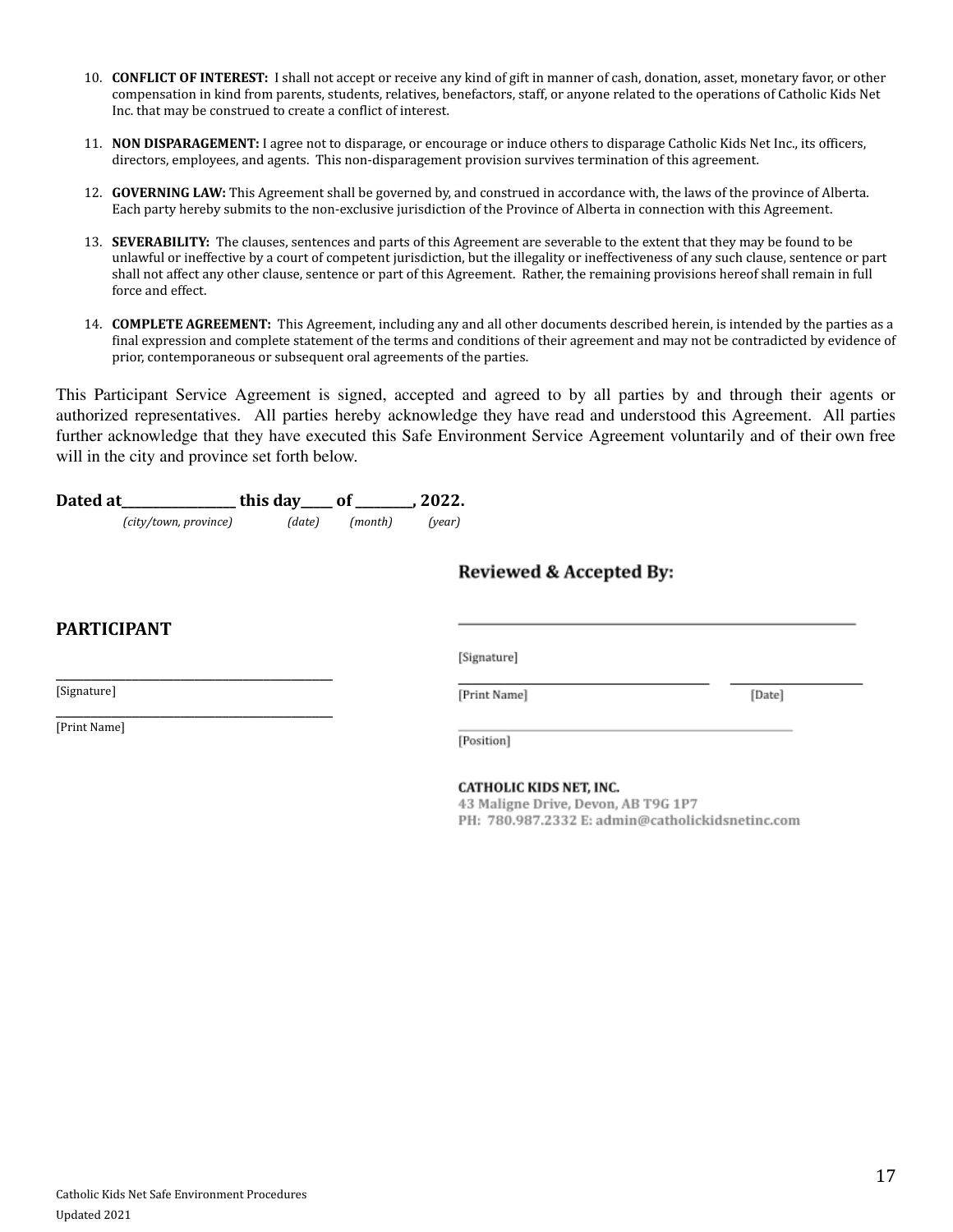- 10. **CONFLICT OF INTEREST:** I shall not accept or receive any kind of gift in manner of cash, donation, asset, monetary favor, or other compensation in kind from parents, students, relatives, benefactors, staff, or anyone related to the operations of Catholic Kids Net Inc. that may be construed to create a conflict of interest.
- 11. **NON DISPARAGEMENT:** I agree not to disparage, or encourage or induce others to disparage Catholic Kids Net Inc., its officers, directors, employees, and agents. This non-disparagement provision survives termination of this agreement.
- 12. **GOVERNING LAW:** This Agreement shall be governed by, and construed in accordance with, the laws of the province of Alberta. Each party hereby submits to the non-exclusive jurisdiction of the Province of Alberta in connection with this Agreement.
- 13. **SEVERABILITY:** The clauses, sentences and parts of this Agreement are severable to the extent that they may be found to be unlawful or ineffective by a court of competent jurisdiction, but the illegality or ineffectiveness of any such clause, sentence or part shall not affect any other clause, sentence or part of this Agreement. Rather, the remaining provisions hereof shall remain in full force and effect.
- 14. **COMPLETE AGREEMENT:** This Agreement, including any and all other documents described herein, is intended by the parties as a final expression and complete statement of the terms and conditions of their agreement and may not be contradicted by evidence of prior, contemporaneous or subsequent oral agreements of the parties.

This Participant Service Agreement is signed, accepted and agreed to by all parties by and through their agents or authorized representatives. All parties hereby acknowledge they have read and understood this Agreement. All parties further acknowledge that they have executed this Safe Environment Service Agreement voluntarily and of their own free will in the city and province set forth below.

| Dated at              | this day _____ of ________, 2022. |         |        |
|-----------------------|-----------------------------------|---------|--------|
| (city/town, province) | (date)                            | (month) | (vear) |

|                    | Reviewed & Accepted By:                                               |        |
|--------------------|-----------------------------------------------------------------------|--------|
| <b>PARTICIPANT</b> |                                                                       |        |
|                    | [Signature]                                                           |        |
| [Signature]        | [Print Name]                                                          | [Date] |
| [Print Name]       | [Position]                                                            |        |
|                    | <b>CATHOLIC KIDS NET, INC.</b><br>43 Maliano Drivo, Dovon, AR TOC 1P7 |        |

### $\overline{10}$

43 Maligne Drive, Devon, AB 19G 1P7

PH: 780.987.2332 E: admin@catholickidsnetinc.com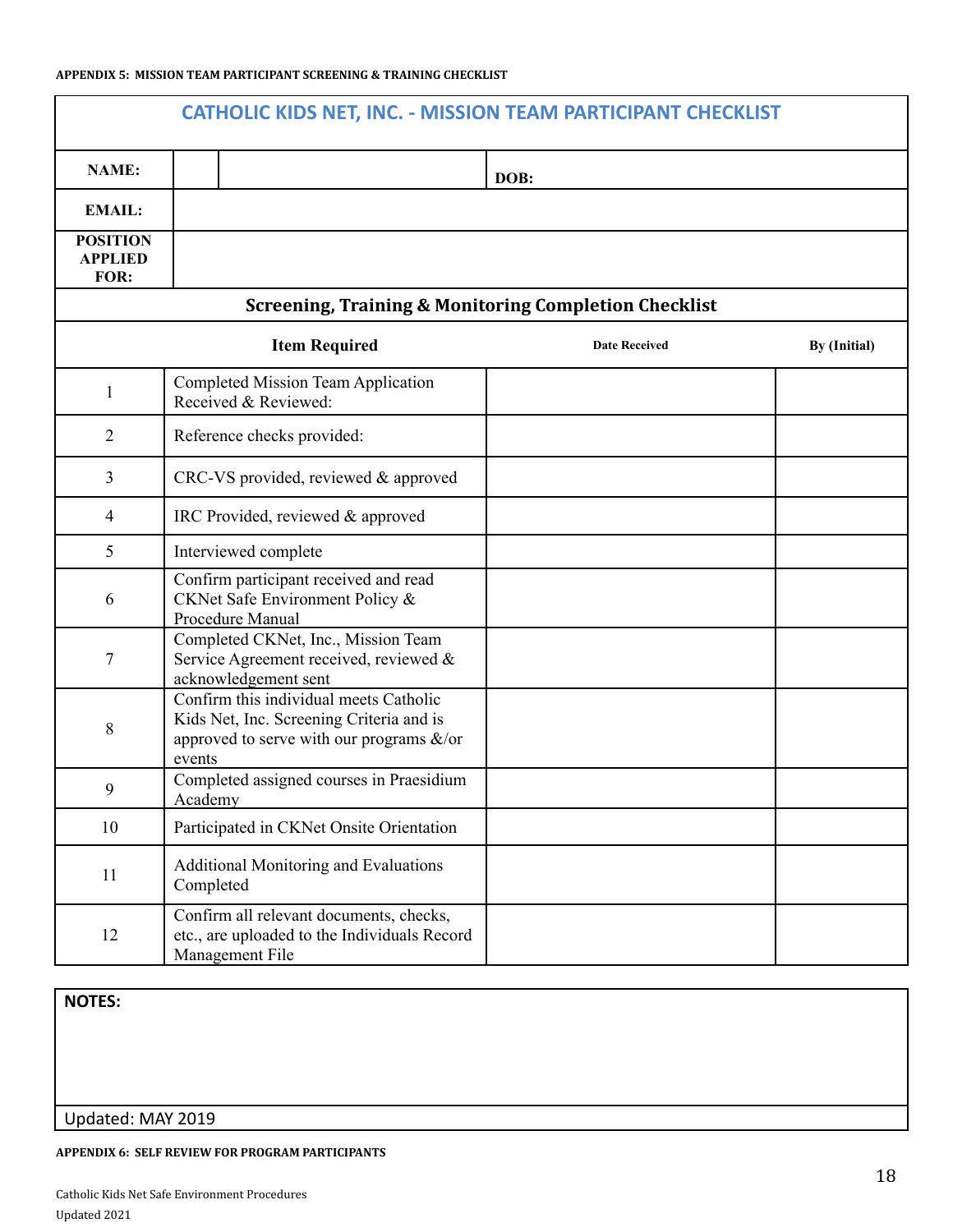| <b>CATHOLIC KIDS NET, INC. - MISSION TEAM PARTICIPANT CHECKLIST</b> |                                                                                                                                              |                      |              |  |
|---------------------------------------------------------------------|----------------------------------------------------------------------------------------------------------------------------------------------|----------------------|--------------|--|
| <b>NAME:</b>                                                        |                                                                                                                                              | DOB:                 |              |  |
| <b>EMAIL:</b>                                                       |                                                                                                                                              |                      |              |  |
| <b>POSITION</b><br><b>APPLIED</b><br>FOR:                           |                                                                                                                                              |                      |              |  |
|                                                                     | <b>Screening, Training &amp; Monitoring Completion Checklist</b>                                                                             |                      |              |  |
|                                                                     | <b>Item Required</b>                                                                                                                         | <b>Date Received</b> | By (Initial) |  |
| 1                                                                   | <b>Completed Mission Team Application</b><br>Received & Reviewed:                                                                            |                      |              |  |
| $\overline{2}$                                                      | Reference checks provided:                                                                                                                   |                      |              |  |
| 3                                                                   | CRC-VS provided, reviewed & approved                                                                                                         |                      |              |  |
| 4                                                                   | IRC Provided, reviewed & approved                                                                                                            |                      |              |  |
| 5                                                                   | Interviewed complete                                                                                                                         |                      |              |  |
| 6                                                                   | Confirm participant received and read<br>CKNet Safe Environment Policy &<br>Procedure Manual                                                 |                      |              |  |
| 7                                                                   | Completed CKNet, Inc., Mission Team<br>Service Agreement received, reviewed &<br>acknowledgement sent                                        |                      |              |  |
| 8                                                                   | Confirm this individual meets Catholic<br>Kids Net, Inc. Screening Criteria and is<br>approved to serve with our programs $\&$ /or<br>events |                      |              |  |
| 9                                                                   | Completed assigned courses in Praesidium<br>Academy                                                                                          |                      |              |  |
| 10                                                                  | Participated in CKNet Onsite Orientation                                                                                                     |                      |              |  |
| 11                                                                  | <b>Additional Monitoring and Evaluations</b><br>Completed                                                                                    |                      |              |  |
| 12                                                                  | Confirm all relevant documents, checks,<br>etc., are uploaded to the Individuals Record<br>Management File                                   |                      |              |  |

**NOTES:**

### Updated: MAY 2019

#### **APPENDIX 6: SELF REVIEW FOR PROGRAM PARTICIPANTS**